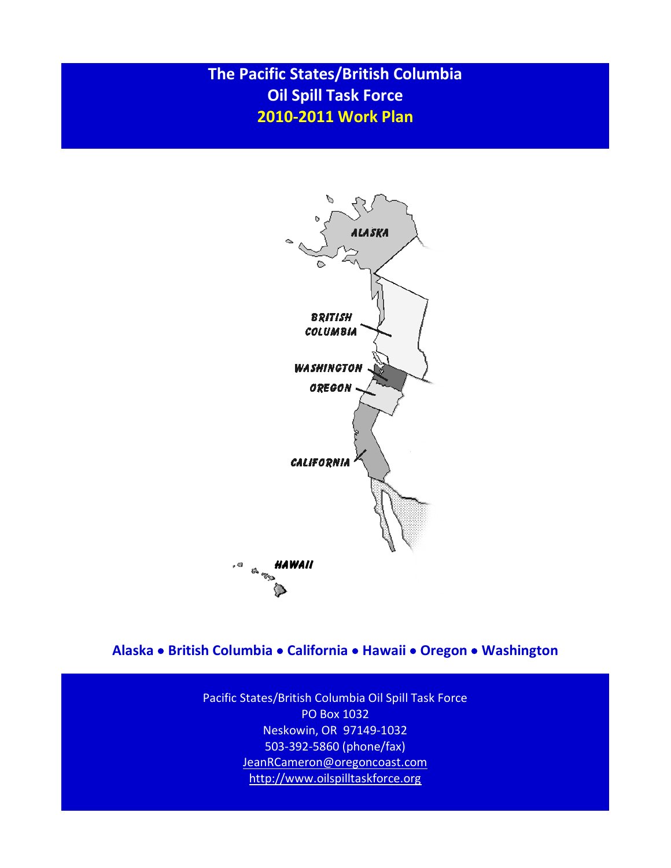# **The Pacific States/British Columbia Oil Spill Task Force 2010-2011 Work Plan**



**Alaska British Columbia California Hawaii Oregon Washington** 

Pacific States/British Columbia Oil Spill Task Force PO Box 1032 Neskowin, OR 97149-1032 503-392-5860 (phone/fax) [JeanRCameron@oregoncoast.com](mailto:JeanRCameron@oregoncoast.com) [http://w](http://wlapwww.gov.bc.ca/eeeb/taskforc/tfhome.htm)ww.oilspilltaskforce.org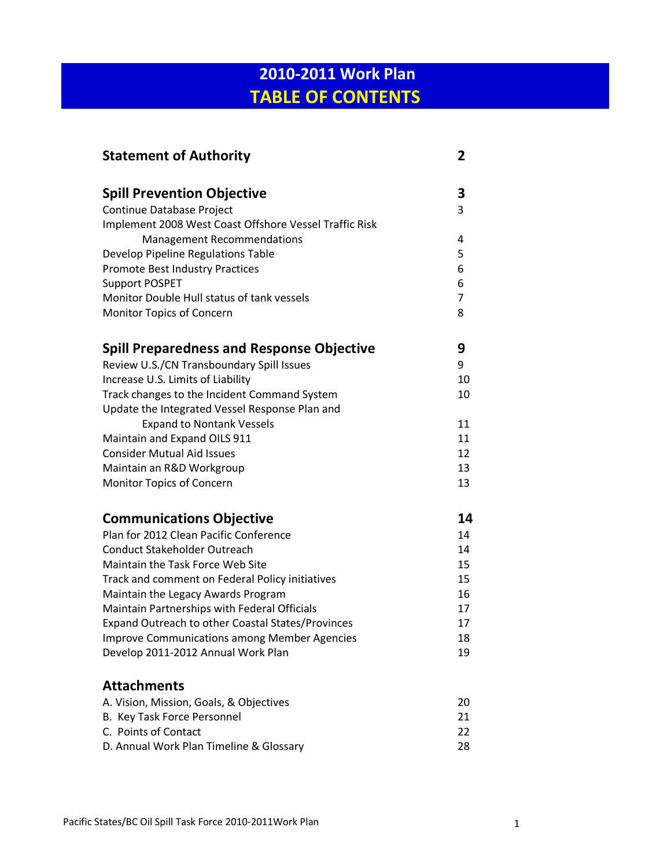# **2010-2011 Work Plan TABLE OF CONTENTS**

| <b>Statement of Authority</b>                          | 2              |
|--------------------------------------------------------|----------------|
| <b>Spill Prevention Objective</b>                      | 3              |
| Continue Database Project                              | 3              |
| Implement 2008 West Coast Offshore Vessel Traffic Risk |                |
| <b>Management Recommendations</b>                      | 4              |
| Develop Pipeline Regulations Table                     | 5              |
| <b>Promote Best Industry Practices</b>                 | 6              |
| <b>Support POSPET</b>                                  | 6              |
| Monitor Double Hull status of tank vessels             | $\overline{7}$ |
| Monitor Topics of Concern                              | 8              |
| <b>Spill Preparedness and Response Objective</b>       | 9              |
| Review U.S./CN Transboundary Spill Issues              | 9              |
| Increase U.S. Limits of Liability                      | 10             |
| Track changes to the Incident Command System           | 10             |
| Update the Integrated Vessel Response Plan and         |                |
| <b>Expand to Nontank Vessels</b>                       | 11             |
| Maintain and Expand OILS 911                           | 11             |
| <b>Consider Mutual Aid Issues</b>                      | 12             |
| Maintain an R&D Workgroup                              | 13             |
| Monitor Topics of Concern                              | 13             |
| <b>Communications Objective</b>                        | 14             |
| Plan for 2012 Clean Pacific Conference                 | 14             |
| <b>Conduct Stakeholder Outreach</b>                    | 14             |
| Maintain the Task Force Web Site                       | 15             |
| Track and comment on Federal Policy initiatives        | 15             |
| Maintain the Legacy Awards Program                     | 16             |
| Maintain Partnerships with Federal Officials           | 17             |
| Expand Outreach to other Coastal States/Provinces      | 17             |
| <b>Improve Communications among Member Agencies</b>    | 18             |
| Develop 2011-2012 Annual Work Plan                     | 19             |
| <b>Attachments</b>                                     |                |
| A. Vision, Mission, Goals, & Objectives                | 20             |
| B. Key Task Force Personnel                            | 21             |
| C. Points of Contact                                   | 22             |
| D. Annual Work Plan Timeline & Glossary                | 28             |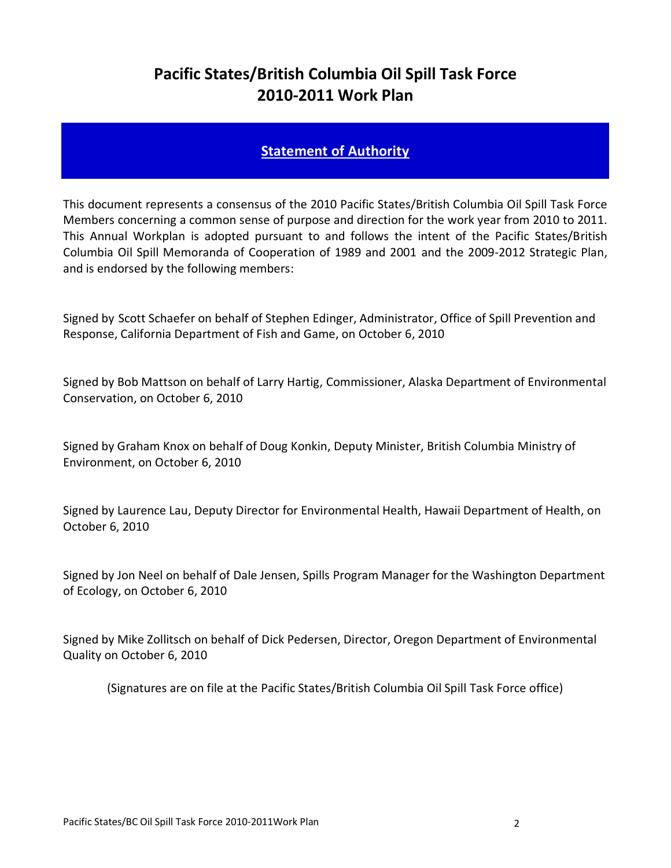# **Pacific States/British Columbia Oil Spill Task Force 2010-2011 Work Plan**

## **Statement of Authority**

This document represents a consensus of the 2010 Pacific States/British Columbia Oil Spill Task Force Members concerning a common sense of purpose and direction for the work year from 2010 to 2011. This Annual Workplan is adopted pursuant to and follows the intent of the Pacific States/British Columbia Oil Spill Memoranda of Cooperation of 1989 and 2001 and the 2009-2012 Strategic Plan, and is endorsed by the following members:

Signed by Scott Schaefer on behalf of Stephen Edinger, Administrator, Office of Spill Prevention and Response, California Department of Fish and Game, on October 6, 2010

Signed by Bob Mattson on behalf of Larry Hartig, Commissioner, Alaska Department of Environmental Conservation, on October 6, 2010

Signed by Graham Knox on behalf of Doug Konkin, Deputy Minister, British Columbia Ministry of Environment, on October 6, 2010

Signed by Laurence Lau, Deputy Director for Environmental Health, Hawaii Department of Health, on October 6, 2010

Signed by Jon Neel on behalf of Dale Jensen, Spills Program Manager for the Washington Department of Ecology, on October 6, 2010

Signed by Mike Zollitsch on behalf of Dick Pedersen, Director, Oregon Department of Environmental Quality on October 6, 2010

(Signatures are on file at the Pacific States/British Columbia Oil Spill Task Force office)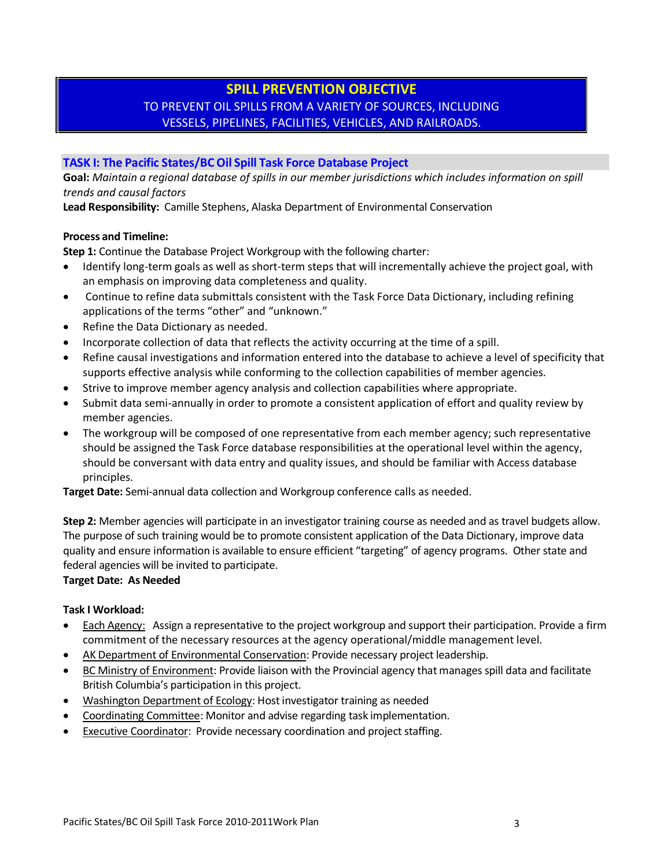## **SPILL PREVENTION OBJECTIVE** TO PREVENT OIL SPILLS FROM A VARIETY OF SOURCES, INCLUDING VESSELS, PIPELINES, FACILITIES, VEHICLES, AND RAILROADS.

#### **TASK I: The Pacific States/BC Oil Spill Task Force Database Project**

**Goal:** *Maintain a regional database of spills in our member jurisdictions which includes information on spill trends and causal factors* 

**Lead Responsibility:** Camille Stephens, Alaska Department of Environmental Conservation

#### **Process and Timeline:**

**Step 1:** Continue the Database Project Workgroup with the following charter:

- Identify long-term goals as well as short-term steps that will incrementally achieve the project goal, with an emphasis on improving data completeness and quality.
- Continue to refine data submittals consistent with the Task Force Data Dictionary, including refining applications of the terms "other" and "unknown."
- Refine the Data Dictionary as needed.
- Incorporate collection of data that reflects the activity occurring at the time of a spill.
- Refine causal investigations and information entered into the database to achieve a level of specificity that supports effective analysis while conforming to the collection capabilities of member agencies.
- Strive to improve member agency analysis and collection capabilities where appropriate.
- Submit data semi-annually in order to promote a consistent application of effort and quality review by member agencies.
- The workgroup will be composed of one representative from each member agency; such representative should be assigned the Task Force database responsibilities at the operational level within the agency, should be conversant with data entry and quality issues, and should be familiar with Access database principles.

**Target Date:** Semi-annual data collection and Workgroup conference calls as needed.

**Step 2:** Member agencies will participate in an investigator training course as needed and as travel budgets allow. The purpose of such training would be to promote consistent application of the Data Dictionary, improve data quality and ensure information is available to ensure efficient "targeting" of agency programs. Other state and federal agencies will be invited to participate.

#### **Target Date: As Needed**

- Each Agency: Assign a representative to the project workgroup and support their participation. Provide a firm commitment of the necessary resources at the agency operational/middle management level.
- AK Department of Environmental Conservation: Provide necessary project leadership.
- BC Ministry of Environment: Provide liaison with the Provincial agency that manages spill data and facilitate British Columbia's participation in this project.
- Washington Department of Ecology: Host investigator training as needed
- Coordinating Committee: Monitor and advise regarding task implementation.
- Executive Coordinator: Provide necessary coordination and project staffing.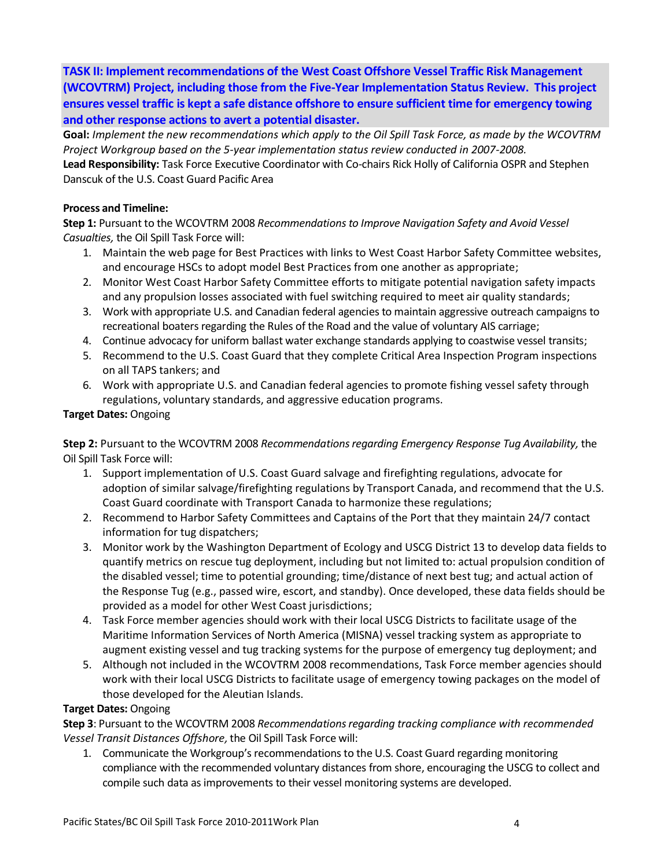**TASK II: Implement recommendations of the West Coast Offshore Vessel Traffic Risk Management (WCOVTRM) Project, including those from the Five-Year Implementation Status Review. This project ensures vessel traffic is kept a safe distance offshore to ensure sufficient time for emergency towing and other response actions to avert a potential disaster.**

**Goal:** *Implement the new recommendations which apply to the Oil Spill Task Force, as made by the WCOVTRM Project Workgroup based on the 5-year implementation status review conducted in 2007-2008.* **Lead Responsibility:** Task Force Executive Coordinator with Co-chairs Rick Holly of California OSPR and Stephen

Danscuk of the U.S. Coast Guard Pacific Area

#### **Process and Timeline:**

**Step 1:** Pursuant to the WCOVTRM 2008 *Recommendations to Improve Navigation Safety and Avoid Vessel Casualties,* the Oil Spill Task Force will:

- 1. Maintain the web page for Best Practices with links to West Coast Harbor Safety Committee websites, and encourage HSCs to adopt model Best Practices from one another as appropriate;
- 2. Monitor West Coast Harbor Safety Committee efforts to mitigate potential navigation safety impacts and any propulsion losses associated with fuel switching required to meet air quality standards;
- 3. Work with appropriate U.S. and Canadian federal agencies to maintain aggressive outreach campaigns to recreational boaters regarding the Rules of the Road and the value of voluntary AIS carriage;
- 4. Continue advocacy for uniform ballast water exchange standards applying to coastwise vessel transits;
- 5. Recommend to the U.S. Coast Guard that they complete Critical Area Inspection Program inspections on all TAPS tankers; and
- 6. Work with appropriate U.S. and Canadian federal agencies to promote fishing vessel safety through regulations, voluntary standards, and aggressive education programs.

#### **Target Dates:** Ongoing

**Step 2:** Pursuant to the WCOVTRM 2008 *Recommendations regarding Emergency Response Tug Availability,* the Oil Spill Task Force will:

- 1. Support implementation of U.S. Coast Guard salvage and firefighting regulations, advocate for adoption of similar salvage/firefighting regulations by Transport Canada, and recommend that the U.S. Coast Guard coordinate with Transport Canada to harmonize these regulations;
- 2. Recommend to Harbor Safety Committees and Captains of the Port that they maintain 24/7 contact information for tug dispatchers;
- 3. Monitor work by the Washington Department of Ecology and USCG District 13 to develop data fields to quantify metrics on rescue tug deployment, including but not limited to: actual propulsion condition of the disabled vessel; time to potential grounding; time/distance of next best tug; and actual action of the Response Tug (e.g., passed wire, escort, and standby). Once developed, these data fields should be provided as a model for other West Coast jurisdictions;
- 4. Task Force member agencies should work with their local USCG Districts to facilitate usage of the Maritime Information Services of North America (MISNA) vessel tracking system as appropriate to augment existing vessel and tug tracking systems for the purpose of emergency tug deployment; and
- 5. Although not included in the WCOVTRM 2008 recommendations, Task Force member agencies should work with their local USCG Districts to facilitate usage of emergency towing packages on the model of those developed for the Aleutian Islands.

#### **Target Dates:** Ongoing

**Step 3**: Pursuant to the WCOVTRM 2008 *Recommendations regarding tracking compliance with recommended Vessel Transit Distances Offshore,*the Oil Spill Task Force will:

1. Communicate the Workgroup's recommendations to the U.S. Coast Guard regarding monitoring compliance with the recommended voluntary distances from shore, encouraging the USCG to collect and compile such data as improvements to their vessel monitoring systems are developed.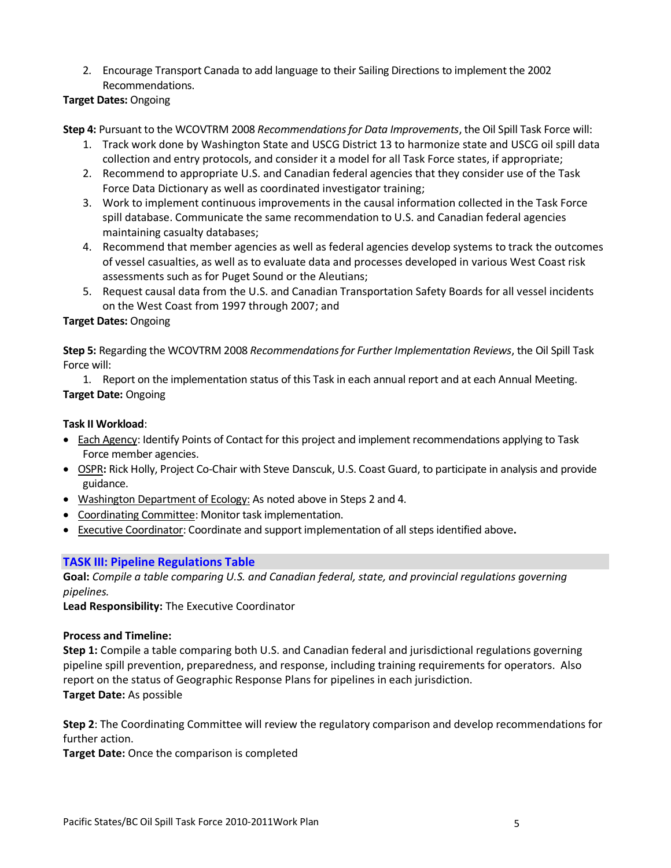2. Encourage Transport Canada to add language to their Sailing Directions to implement the 2002 Recommendations.

**Target Dates:** Ongoing

**Step 4:** Pursuant to the WCOVTRM 2008 *Recommendations for Data Improvements*, the Oil Spill Task Force will:

- 1. Track work done by Washington State and USCG District 13 to harmonize state and USCG oil spill data collection and entry protocols, and consider it a model for all Task Force states, if appropriate;
- 2. Recommend to appropriate U.S. and Canadian federal agencies that they consider use of the Task Force Data Dictionary as well as coordinated investigator training;
- 3. Work to implement continuous improvements in the causal information collected in the Task Force spill database. Communicate the same recommendation to U.S. and Canadian federal agencies maintaining casualty databases;
- 4. Recommend that member agencies as well as federal agencies develop systems to track the outcomes of vessel casualties, as well as to evaluate data and processes developed in various West Coast risk assessments such as for Puget Sound or the Aleutians;
- 5. Request causal data from the U.S. and Canadian Transportation Safety Boards for all vessel incidents on the West Coast from 1997 through 2007; and

## **Target Dates:** Ongoing

**Step 5:** Regarding the WCOVTRM 2008 *Recommendations for Further Implementation Reviews*, the Oil Spill Task Force will:

1. Report on the implementation status of this Task in each annual report and at each Annual Meeting. **Target Date:** Ongoing

### **Task II Workload**:

- Each Agency: Identify Points of Contact for this project and implement recommendations applying to Task Force member agencies.
- OSPR**:** Rick Holly, Project Co-Chair with Steve Danscuk, U.S. Coast Guard, to participate in analysis and provide guidance.
- Washington Department of Ecology: As noted above in Steps 2 and 4.
- Coordinating Committee: Monitor task implementation.
- Executive Coordinator: Coordinate and support implementation of all steps identified above**.**

## **TASK III: Pipeline Regulations Table**

**Goal:** *Compile a table comparing U.S. and Canadian federal, state, and provincial regulations governing pipelines.*

**Lead Responsibility:** The Executive Coordinator

#### **Process and Timeline:**

**Step 1:** Compile a table comparing both U.S. and Canadian federal and jurisdictional regulations governing pipeline spill prevention, preparedness, and response, including training requirements for operators. Also report on the status of Geographic Response Plans for pipelines in each jurisdiction. **Target Date:** As possible

**Step 2**: The Coordinating Committee will review the regulatory comparison and develop recommendations for further action.

**Target Date:** Once the comparison is completed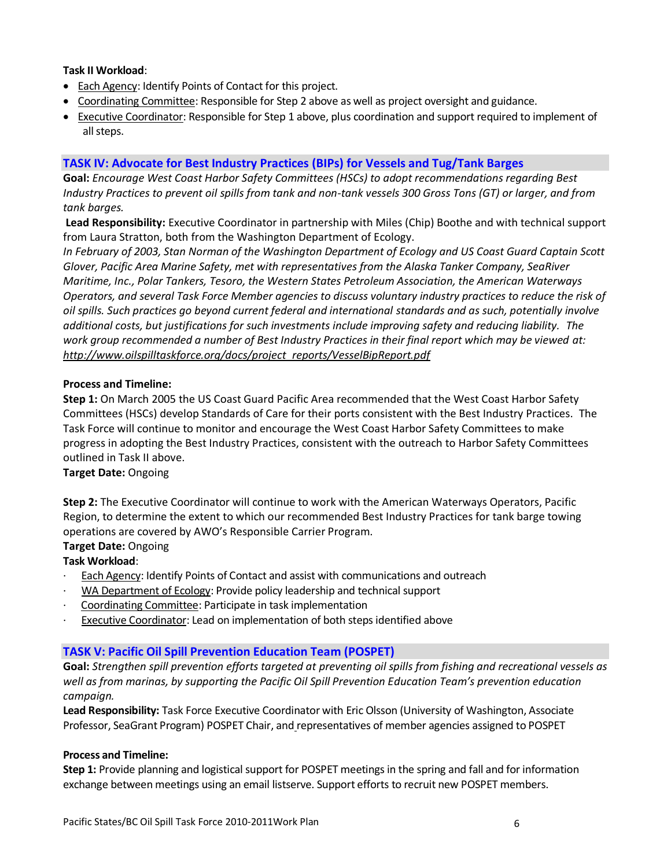#### **Task II Workload**:

- Each Agency: Identify Points of Contact for this project.
- Coordinating Committee: Responsible for Step 2 above as well as project oversight and guidance.
- Executive Coordinator: Responsible for Step 1 above, plus coordination and support required to implement of all steps.

#### **TASK IV: Advocate for Best Industry Practices (BIPs) for Vessels and Tug/Tank Barges**

**Goal:** *Encourage West Coast Harbor Safety Committees (HSCs) to adopt recommendations regarding Best Industry Practices to prevent oil spills from tank and non-tank vessels 300 Gross Tons (GT) or larger, and from tank barges.* 

**Lead Responsibility:** Executive Coordinator in partnership with Miles (Chip) Boothe and with technical support from Laura Stratton, both from the Washington Department of Ecology.

*In February of 2003, Stan Norman of the Washington Department of Ecology and US Coast Guard Captain Scott Glover, Pacific Area Marine Safety, met with representatives from the Alaska Tanker Company, SeaRiver Maritime, Inc., Polar Tankers, Tesoro, the Western States Petroleum Association, the American Waterways Operators, and several Task Force Member agencies to discuss voluntary industry practices to reduce the risk of oil spills. Such practices go beyond current federal and international standards and as such, potentially involve additional costs, but justifications for such investments include improving safety and reducing liability. The work group recommended a number of Best Industry Practices in their final report which may be viewed at: [http://www.oilspilltaskforce.org/docs/project\\_reports/VesselBipReport.pdf](http://www.oilspilltaskforce.org/docs/project_reports/VesselBipReport.pdf)*

#### **Process and Timeline:**

**Step 1:** On March 2005 the US Coast Guard Pacific Area recommended that the West Coast Harbor Safety Committees (HSCs) develop Standards of Care for their ports consistent with the Best Industry Practices. The Task Force will continue to monitor and encourage the West Coast Harbor Safety Committees to make progress in adopting the Best Industry Practices, consistent with the outreach to Harbor Safety Committees outlined in Task II above.

#### **Target Date:** Ongoing

**Step 2:** The Executive Coordinator will continue to work with the American Waterways Operators, Pacific Region, to determine the extent to which our recommended Best Industry Practices for tank barge towing operations are covered by AWO's Responsible Carrier Program.

#### **Target Date:** Ongoing

#### **Task Workload**:

- Each Agency: Identify Points of Contact and assist with communications and outreach
- WA Department of Ecology: Provide policy leadership and technical support
- Coordinating Committee: Participate in task implementation
- **Executive Coordinator: Lead on implementation of both steps identified above**

#### **TASK V: Pacific Oil Spill Prevention Education Team (POSPET)**

**Goal:** *Strengthen spill prevention efforts targeted at preventing oil spills from fishing and recreational vessels as well as from marinas, by supporting the Pacific Oil Spill Prevention Education Team's prevention education campaign.* 

**Lead Responsibility:** Task Force Executive Coordinator with Eric Olsson (University of Washington, Associate Professor, SeaGrant Program) POSPET Chair, and representatives of member agencies assigned to POSPET

#### **Process and Timeline:**

**Step 1:** Provide planning and logistical support for POSPET meetings in the spring and fall and for information exchange between meetings using an email listserve. Support efforts to recruit new POSPET members.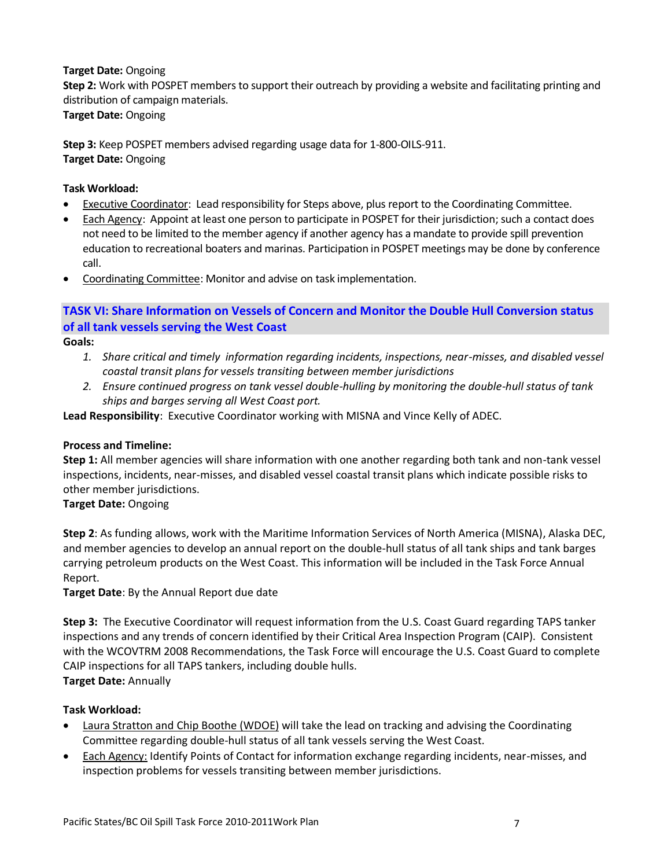### **Target Date:** Ongoing

**Step 2:** Work with POSPET members to support their outreach by providing a website and facilitating printing and distribution of campaign materials.

## **Target Date:** Ongoing

**Step 3:** Keep POSPET members advised regarding usage data for 1-800-OILS-911. **Target Date:** Ongoing

### **Task Workload:**

- **Executive Coordinator: Lead responsibility for Steps above, plus report to the Coordinating Committee.**
- Each Agency: Appoint at least one person to participate in POSPET for their jurisdiction; such a contact does not need to be limited to the member agency if another agency has a mandate to provide spill prevention education to recreational boaters and marinas. Participation in POSPET meetings may be done by conference call.
- Coordinating Committee: Monitor and advise on task implementation.

## **TASK VI: Share Information on Vessels of Concern and Monitor the Double Hull Conversion status of all tank vessels serving the West Coast**

**Goals:** 

- *1. Share critical and timely information regarding incidents, inspections, near-misses, and disabled vessel coastal transit plans for vessels transiting between member jurisdictions*
- *2. Ensure continued progress on tank vessel double-hulling by monitoring the double-hull status of tank ships and barges serving all West Coast port.*

**Lead Responsibility**: Executive Coordinator working with MISNA and Vince Kelly of ADEC.

## **Process and Timeline:**

**Step 1:** All member agencies will share information with one another regarding both tank and non-tank vessel inspections, incidents, near-misses, and disabled vessel coastal transit plans which indicate possible risks to other member jurisdictions.

#### **Target Date:** Ongoing

**Step 2**: As funding allows, work with the Maritime Information Services of North America (MISNA), Alaska DEC, and member agencies to develop an annual report on the double-hull status of all tank ships and tank barges carrying petroleum products on the West Coast. This information will be included in the Task Force Annual Report.

**Target Date**: By the Annual Report due date

**Step 3:** The Executive Coordinator will request information from the U.S. Coast Guard regarding TAPS tanker inspections and any trends of concern identified by their Critical Area Inspection Program (CAIP). Consistent with the WCOVTRM 2008 Recommendations, the Task Force will encourage the U.S. Coast Guard to complete CAIP inspections for all TAPS tankers, including double hulls. **Target Date:** Annually

- Laura Stratton and Chip Boothe (WDOE) will take the lead on tracking and advising the Coordinating Committee regarding double-hull status of all tank vessels serving the West Coast.
- Each Agency: Identify Points of Contact for information exchange regarding incidents, near-misses, and inspection problems for vessels transiting between member jurisdictions.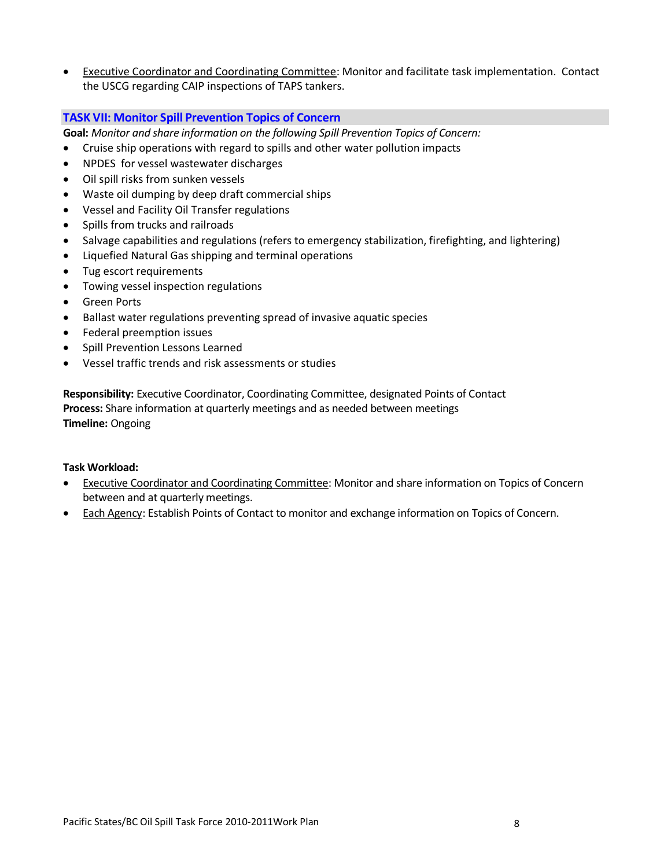Executive Coordinator and Coordinating Committee: Monitor and facilitate task implementation. Contact the USCG regarding CAIP inspections of TAPS tankers.

#### **TASK VII: Monitor Spill Prevention Topics of Concern**

**Goal:** *Monitor and share information on the following Spill Prevention Topics of Concern:*

- Cruise ship operations with regard to spills and other water pollution impacts
- NPDES for vessel wastewater discharges
- Oil spill risks from sunken vessels
- Waste oil dumping by deep draft commercial ships
- Vessel and Facility Oil Transfer regulations
- Spills from trucks and railroads
- Salvage capabilities and regulations (refers to emergency stabilization, firefighting, and lightering)
- Liquefied Natural Gas shipping and terminal operations
- Tug escort requirements
- Towing vessel inspection regulations
- Green Ports
- Ballast water regulations preventing spread of invasive aquatic species
- Federal preemption issues
- Spill Prevention Lessons Learned
- Vessel traffic trends and risk assessments or studies

**Responsibility:** Executive Coordinator, Coordinating Committee, designated Points of Contact **Process:** Share information at quarterly meetings and as needed between meetings **Timeline:** Ongoing

- Executive Coordinator and Coordinating Committee: Monitor and share information on Topics of Concern between and at quarterly meetings.
- Each Agency: Establish Points of Contact to monitor and exchange information on Topics of Concern.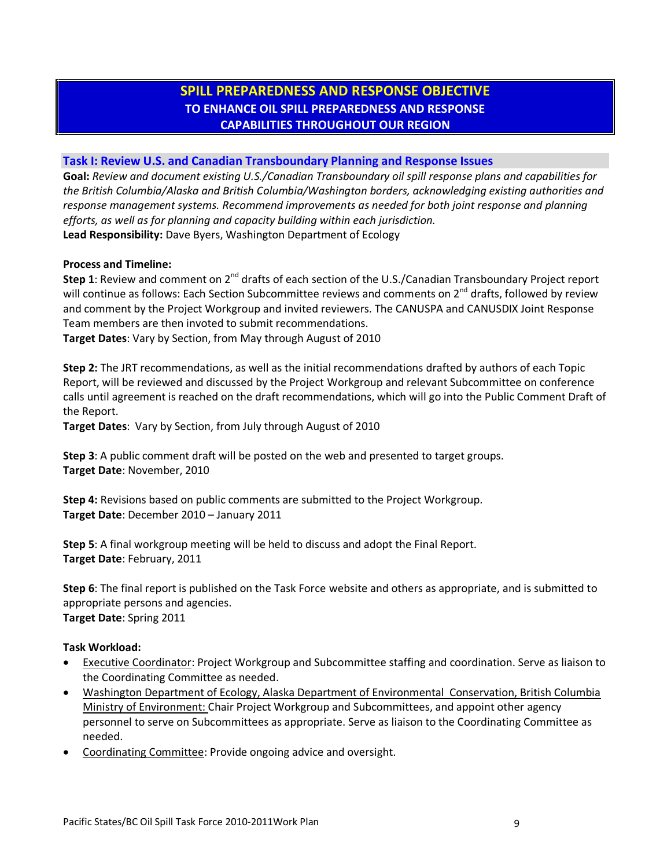## **SPILL PREPAREDNESS AND RESPONSE OBJECTIVE TO ENHANCE OIL SPILL PREPAREDNESS AND RESPONSE CAPABILITIES THROUGHOUT OUR REGION**

#### **Task I: Review U.S. and Canadian Transboundary Planning and Response Issues**

**Goal:** *Review and document existing U.S./Canadian Transboundary oil spill response plans and capabilities for the British Columbia/Alaska and British Columbia/Washington borders, acknowledging existing authorities and response management systems. Recommend improvements as needed for both joint response and planning efforts, as well as for planning and capacity building within each jurisdiction.*  **Lead Responsibility:** Dave Byers, Washington Department of Ecology

#### **Process and Timeline:**

**Step 1**: Review and comment on 2<sup>nd</sup> drafts of each section of the U.S./Canadian Transboundary Project report will continue as follows: Each Section Subcommittee reviews and comments on  $2^{nd}$  drafts, followed by review and comment by the Project Workgroup and invited reviewers. The CANUSPA and CANUSDIX Joint Response Team members are then invoted to submit recommendations.

**Target Dates**: Vary by Section, from May through August of 2010

**Step 2:** The JRT recommendations, as well as the initial recommendations drafted by authors of each Topic Report, will be reviewed and discussed by the Project Workgroup and relevant Subcommittee on conference calls until agreement is reached on the draft recommendations, which will go into the Public Comment Draft of the Report.

**Target Dates**: Vary by Section, from July through August of 2010

**Step 3**: A public comment draft will be posted on the web and presented to target groups. **Target Date**: November, 2010

**Step 4:** Revisions based on public comments are submitted to the Project Workgroup. **Target Date**: December 2010 – January 2011

**Step 5**: A final workgroup meeting will be held to discuss and adopt the Final Report. **Target Date**: February, 2011

**Step 6**: The final report is published on the Task Force website and others as appropriate, and is submitted to appropriate persons and agencies. **Target Date**: Spring 2011

- **Executive Coordinator: Project Workgroup and Subcommittee staffing and coordination. Serve as liaison to** the Coordinating Committee as needed.
- Washington Department of Ecology, Alaska Department of Environmental Conservation, British Columbia Ministry of Environment: Chair Project Workgroup and Subcommittees, and appoint other agency personnel to serve on Subcommittees as appropriate. Serve as liaison to the Coordinating Committee as needed.
- Coordinating Committee: Provide ongoing advice and oversight.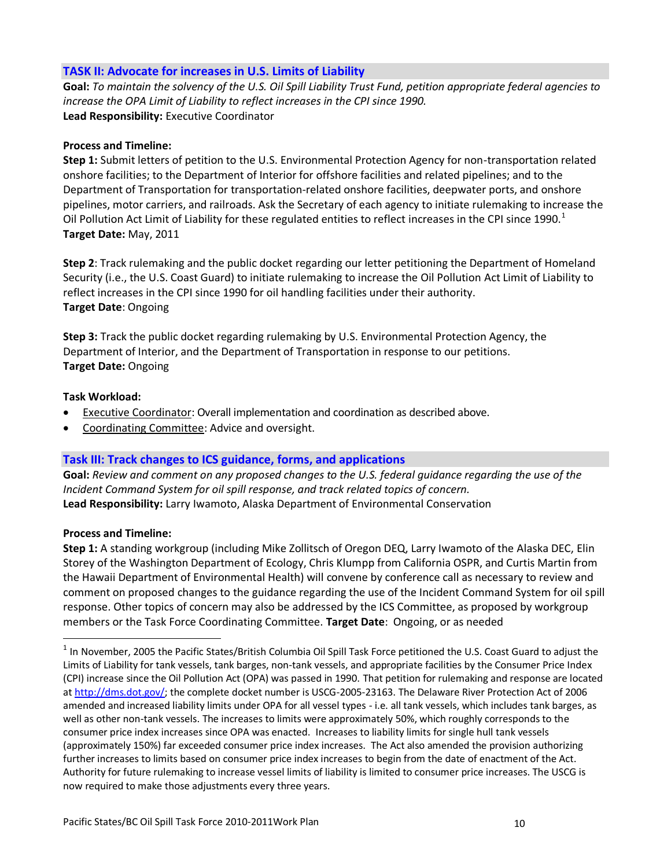### **TASK II: Advocate for increases in U.S. Limits of Liability**

**Goal:** *To maintain the solvency of the U.S. Oil Spill Liability Trust Fund, petition appropriate federal agencies to increase the OPA Limit of Liability to reflect increases in the CPI since 1990.* **Lead Responsibility:** Executive Coordinator

#### **Process and Timeline:**

**Step 1:** Submit letters of petition to the U.S. Environmental Protection Agency for non-transportation related onshore facilities; to the Department of Interior for offshore facilities and related pipelines; and to the Department of Transportation for transportation-related onshore facilities, deepwater ports, and onshore pipelines, motor carriers, and railroads. Ask the Secretary of each agency to initiate rulemaking to increase the Oil Pollution Act Limit of Liability for these regulated entities to reflect increases in the CPI since 1990. $1$ **Target Date:** May, 2011

**Step 2**: Track rulemaking and the public docket regarding our letter petitioning the Department of Homeland Security (i.e., the U.S. Coast Guard) to initiate rulemaking to increase the Oil Pollution Act Limit of Liability to reflect increases in the CPI since 1990 for oil handling facilities under their authority. **Target Date**: Ongoing

**Step 3:** Track the public docket regarding rulemaking by U.S. Environmental Protection Agency, the Department of Interior, and the Department of Transportation in response to our petitions. **Target Date:** Ongoing

#### **Task Workload:**

- Executive Coordinator: Overall implementation and coordination as described above.
- Coordinating Committee: Advice and oversight.

## **Task III: Track changes to ICS guidance, forms, and applications**

**Goal:** *Review and comment on any proposed changes to the U.S. federal guidance regarding the use of the Incident Command System for oil spill response, and track related topics of concern.* **Lead Responsibility:** Larry Iwamoto, Alaska Department of Environmental Conservation

#### **Process and Timeline:**

**Step 1:** A standing workgroup (including Mike Zollitsch of Oregon DEQ, Larry Iwamoto of the Alaska DEC, Elin Storey of the Washington Department of Ecology, Chris Klumpp from California OSPR, and Curtis Martin from the Hawaii Department of Environmental Health) will convene by conference call as necessary to review and comment on proposed changes to the guidance regarding the use of the Incident Command System for oil spill response. Other topics of concern may also be addressed by the ICS Committee, as proposed by workgroup members or the Task Force Coordinating Committee. **Target Date**: Ongoing, or as needed

 $^1$  In November, 2005 the Pacific States/British Columbia Oil Spill Task Force petitioned the U.S. Coast Guard to adjust the Limits of Liability for tank vessels, tank barges, non-tank vessels, and appropriate facilities by the Consumer Price Index (CPI) increase since the Oil Pollution Act (OPA) was passed in 1990. That petition for rulemaking and response are located at [http://dms.dot.gov/;](http://dms.dot.gov/) the complete docket number is USCG-2005-23163. The Delaware River Protection Act of 2006 amended and increased liability limits under OPA for all vessel types - i.e. all tank vessels, which includes tank barges, as well as other non-tank vessels. The increases to limits were approximately 50%, which roughly corresponds to the consumer price index increases since OPA was enacted. Increases to liability limits for single hull tank vessels (approximately 150%) far exceeded consumer price index increases. The Act also amended the provision authorizing further increases to limits based on consumer price index increases to begin from the date of enactment of the Act. Authority for future rulemaking to increase vessel limits of liability is limited to consumer price increases. The USCG is now required to make those adjustments every three years.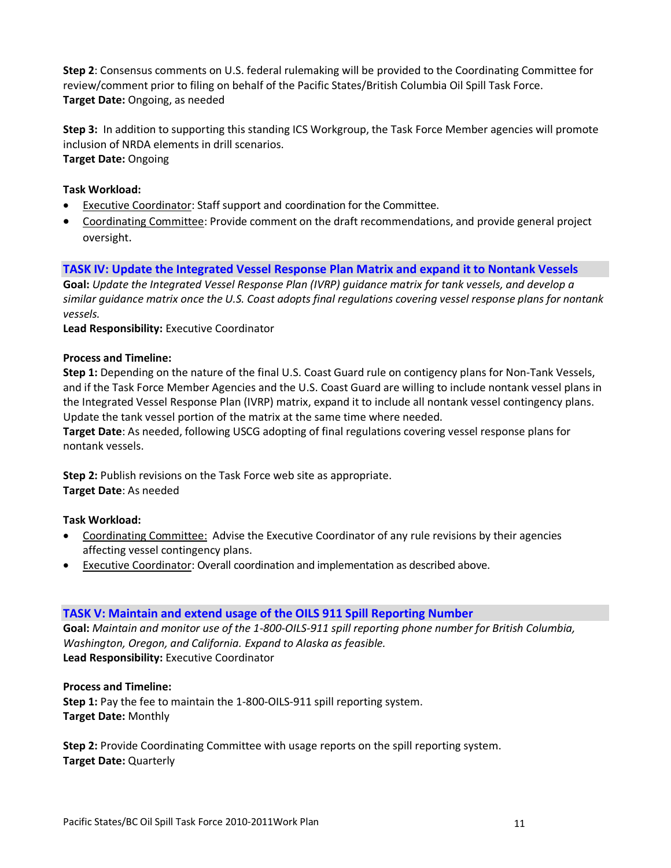**Step 2**: Consensus comments on U.S. federal rulemaking will be provided to the Coordinating Committee for review/comment prior to filing on behalf of the Pacific States/British Columbia Oil Spill Task Force. **Target Date:** Ongoing, as needed

**Step 3:** In addition to supporting this standing ICS Workgroup, the Task Force Member agencies will promote inclusion of NRDA elements in drill scenarios. **Target Date:** Ongoing

### **Task Workload:**

- Executive Coordinator: Staff support and coordination for the Committee.
- Coordinating Committee: Provide comment on the draft recommendations, and provide general project oversight.

### **TASK IV: Update the Integrated Vessel Response Plan Matrix and expand it to Nontank Vessels**

**Goal:** *Update the Integrated Vessel Response Plan (IVRP) guidance matrix for tank vessels, and develop a similar guidance matrix once the U.S. Coast adopts final regulations covering vessel response plans for nontank vessels.* 

**Lead Responsibility:** Executive Coordinator

#### **Process and Timeline:**

**Step 1:** Depending on the nature of the final U.S. Coast Guard rule on contigency plans for Non-Tank Vessels, and if the Task Force Member Agencies and the U.S. Coast Guard are willing to include nontank vessel plans in the Integrated Vessel Response Plan (IVRP) matrix, expand it to include all nontank vessel contingency plans. Update the tank vessel portion of the matrix at the same time where needed.

**Target Date**: As needed, following USCG adopting of final regulations covering vessel response plans for nontank vessels.

**Step 2:** Publish revisions on the Task Force web site as appropriate. **Target Date**: As needed

**Task Workload:**

- Coordinating Committee: Advise the Executive Coordinator of any rule revisions by their agencies affecting vessel contingency plans.
- **Executive Coordinator: Overall coordination and implementation as described above.**

#### **TASK V: Maintain and extend usage of the OILS 911 Spill Reporting Number**

**Goal:** *Maintain and monitor use of the 1-800-OILS-911 spill reporting phone number for British Columbia, Washington, Oregon, and California. Expand to Alaska as feasible.* **Lead Responsibility:** Executive Coordinator

**Process and Timeline: Step 1:** Pay the fee to maintain the 1-800-OILS-911 spill reporting system. **Target Date:** Monthly

**Step 2:** Provide Coordinating Committee with usage reports on the spill reporting system. **Target Date:** Quarterly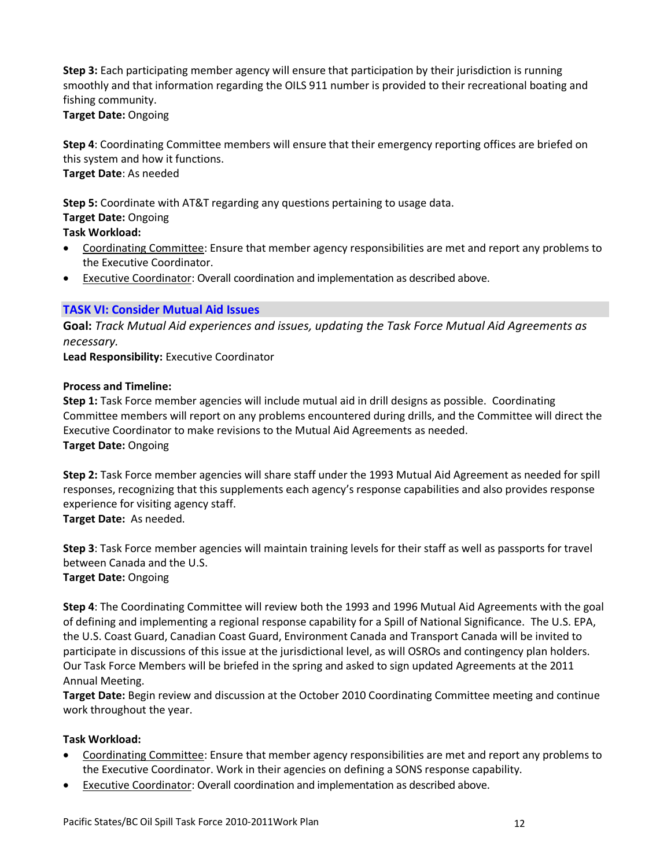**Step 3:** Each participating member agency will ensure that participation by their jurisdiction is running smoothly and that information regarding the OILS 911 number is provided to their recreational boating and fishing community.

**Target Date:** Ongoing

**Step 4**: Coordinating Committee members will ensure that their emergency reporting offices are briefed on this system and how it functions. **Target Date**: As needed

**Step 5:** Coordinate with AT&T regarding any questions pertaining to usage data. **Target Date:** Ongoing

**Task Workload:**

- Coordinating Committee: Ensure that member agency responsibilities are met and report any problems to the Executive Coordinator.
- Executive Coordinator: Overall coordination and implementation as described above.

## **TASK VI: Consider Mutual Aid Issues**

**Goal:** *Track Mutual Aid experiences and issues, updating the Task Force Mutual Aid Agreements as necessary.*

**Lead Responsibility:** Executive Coordinator

### **Process and Timeline:**

**Step 1:** Task Force member agencies will include mutual aid in drill designs as possible. Coordinating Committee members will report on any problems encountered during drills, and the Committee will direct the Executive Coordinator to make revisions to the Mutual Aid Agreements as needed. **Target Date:** Ongoing

**Step 2:** Task Force member agencies will share staff under the 1993 Mutual Aid Agreement as needed for spill responses, recognizing that this supplements each agency's response capabilities and also provides response experience for visiting agency staff.

**Target Date:** As needed.

**Step 3**: Task Force member agencies will maintain training levels for their staff as well as passports for travel between Canada and the U.S. **Target Date:** Ongoing

**Step 4**: The Coordinating Committee will review both the 1993 and 1996 Mutual Aid Agreements with the goal of defining and implementing a regional response capability for a Spill of National Significance. The U.S. EPA, the U.S. Coast Guard, Canadian Coast Guard, Environment Canada and Transport Canada will be invited to participate in discussions of this issue at the jurisdictional level, as will OSROs and contingency plan holders. Our Task Force Members will be briefed in the spring and asked to sign updated Agreements at the 2011 Annual Meeting.

**Target Date:** Begin review and discussion at the October 2010 Coordinating Committee meeting and continue work throughout the year.

- Coordinating Committee: Ensure that member agency responsibilities are met and report any problems to the Executive Coordinator. Work in their agencies on defining a SONS response capability.
- Executive Coordinator: Overall coordination and implementation as described above.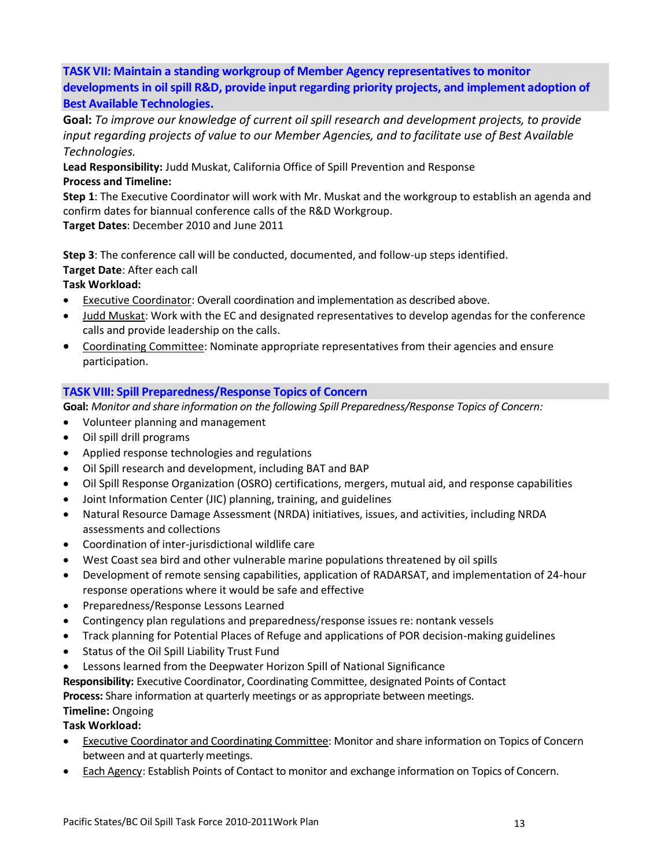**TASK VII: Maintain a standing workgroup of Member Agency representatives to monitor developments in oil spill R&D, provide input regarding priority projects, and implement adoption of Best Available Technologies.**

**Goal:** *To improve our knowledge of current oil spill research and development projects, to provide input regarding projects of value to our Member Agencies, and to facilitate use of Best Available Technologies.*

**Lead Responsibility:** Judd Muskat, California Office of Spill Prevention and Response **Process and Timeline:**

**Step 1**: The Executive Coordinator will work with Mr. Muskat and the workgroup to establish an agenda and confirm dates for biannual conference calls of the R&D Workgroup.

**Target Dates**: December 2010 and June 2011

**Step 3**: The conference call will be conducted, documented, and follow-up steps identified.

**Target Date**: After each call

**Task Workload:**

- Executive Coordinator: Overall coordination and implementation as described above.
- Judd Muskat: Work with the EC and designated representatives to develop agendas for the conference calls and provide leadership on the calls.
- Coordinating Committee: Nominate appropriate representatives from their agencies and ensure participation.

## **TASK VIII: Spill Preparedness/Response Topics of Concern**

**Goal:** *Monitor and share information on the following Spill Preparedness/Response Topics of Concern:*

- Volunteer planning and management
- Oil spill drill programs
- Applied response technologies and regulations
- Oil Spill research and development, including BAT and BAP
- Oil Spill Response Organization (OSRO) certifications, mergers, mutual aid, and response capabilities
- Joint Information Center (JIC) planning, training, and guidelines
- Natural Resource Damage Assessment (NRDA) initiatives, issues, and activities, including NRDA assessments and collections
- Coordination of inter-jurisdictional wildlife care
- West Coast sea bird and other vulnerable marine populations threatened by oil spills
- Development of remote sensing capabilities, application of RADARSAT, and implementation of 24-hour response operations where it would be safe and effective
- Preparedness/Response Lessons Learned
- Contingency plan regulations and preparedness/response issues re: nontank vessels
- Track planning for Potential Places of Refuge and applications of POR decision-making guidelines
- Status of the Oil Spill Liability Trust Fund
- Lessons learned from the Deepwater Horizon Spill of National Significance

**Responsibility:** Executive Coordinator, Coordinating Committee, designated Points of Contact

**Process:** Share information at quarterly meetings or as appropriate between meetings.

## **Timeline:** Ongoing

- Executive Coordinator and Coordinating Committee: Monitor and share information on Topics of Concern between and at quarterly meetings.
- Each Agency: Establish Points of Contact to monitor and exchange information on Topics of Concern.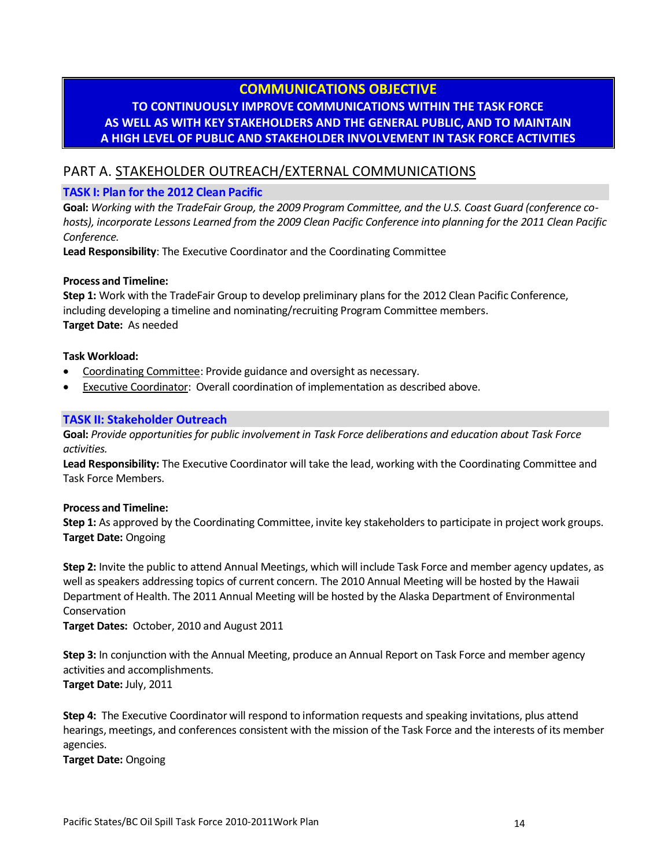## **COMMUNICATIONS OBJECTIVE**

## **TO CONTINUOUSLY IMPROVE COMMUNICATIONS WITHIN THE TASK FORCE AS WELL AS WITH KEY STAKEHOLDERS AND THE GENERAL PUBLIC, AND TO MAINTAIN A HIGH LEVEL OF PUBLIC AND STAKEHOLDER INVOLVEMENT IN TASK FORCE ACTIVITIES**

## PART A. STAKEHOLDER OUTREACH/EXTERNAL COMMUNICATIONS

#### **TASK I: Plan for the 2012 Clean Pacific**

**Goal:** *Working with the TradeFair Group, the 2009 Program Committee, and the U.S. Coast Guard (conference cohosts), incorporate Lessons Learned from the 2009 Clean Pacific Conference into planning for the 2011 Clean Pacific Conference.*

**Lead Responsibility**: The Executive Coordinator and the Coordinating Committee

#### **Process and Timeline:**

**Step 1:** Work with the TradeFair Group to develop preliminary plans for the 2012 Clean Pacific Conference, including developing a timeline and nominating/recruiting Program Committee members. **Target Date:** As needed

#### **Task Workload:**

- Coordinating Committee: Provide guidance and oversight as necessary.
- Executive Coordinator: Overall coordination of implementation as described above.

#### **TASK II: Stakeholder Outreach**

**Goal:** *Provide opportunities for public involvement in Task Force deliberations and education about Task Force activities.*

**Lead Responsibility:** The Executive Coordinator will take the lead, working with the Coordinating Committee and Task Force Members.

#### **Process and Timeline:**

**Step 1:** As approved by the Coordinating Committee, invite key stakeholders to participate in project work groups. **Target Date:** Ongoing

**Step 2:** Invite the public to attend Annual Meetings, which will include Task Force and member agency updates, as well as speakers addressing topics of current concern. The 2010 Annual Meeting will be hosted by the Hawaii Department of Health. The 2011 Annual Meeting will be hosted by the Alaska Department of Environmental Conservation

**Target Dates:** October, 2010 and August 2011

**Step 3:** In conjunction with the Annual Meeting, produce an Annual Report on Task Force and member agency activities and accomplishments.

**Target Date:** July, 2011

**Step 4:** The Executive Coordinator will respond to information requests and speaking invitations, plus attend hearings, meetings, and conferences consistent with the mission of the Task Force and the interests of its member agencies.

**Target Date:** Ongoing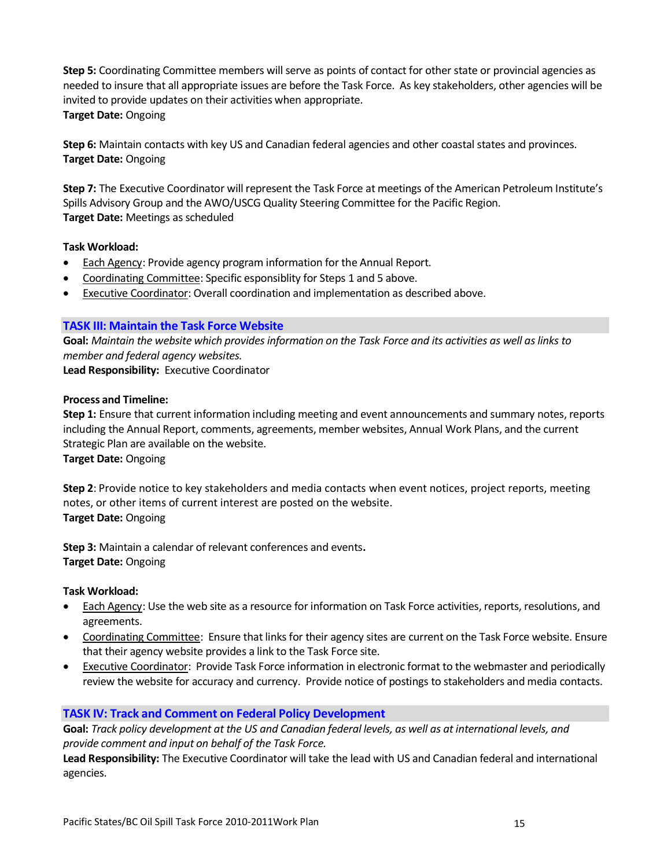**Step 5:** Coordinating Committee members will serve as points of contact for other state or provincial agencies as needed to insure that all appropriate issues are before the Task Force. As key stakeholders, other agencies will be invited to provide updates on their activities when appropriate. **Target Date:** Ongoing

**Step 6:** Maintain contacts with key US and Canadian federal agencies and other coastal states and provinces. **Target Date:** Ongoing

**Step 7:** The Executive Coordinator will represent the Task Force at meetings of the American Petroleum Institute's Spills Advisory Group and the AWO/USCG Quality Steering Committee for the Pacific Region. **Target Date:** Meetings as scheduled

#### **Task Workload:**

- Each Agency: Provide agency program information for the Annual Report.
- Coordinating Committee: Specific esponsiblity for Steps 1 and 5 above.
- **Executive Coordinator: Overall coordination and implementation as described above.**

#### **TASK III: Maintain the Task Force Website**

**Goal:** *Maintain the website which provides information on the Task Force and its activities as well as links to member and federal agency websites.* 

**Lead Responsibility:** Executive Coordinator

#### **Process and Timeline:**

**Step 1:** Ensure that current information including meeting and event announcements and summary notes, reports including the Annual Report, comments, agreements, member websites, Annual Work Plans, and the current Strategic Plan are available on the website.

**Target Date:** Ongoing

**Step 2**: Provide notice to key stakeholders and media contacts when event notices, project reports, meeting notes, or other items of current interest are posted on the website. **Target Date:** Ongoing

**Step 3:** Maintain a calendar of relevant conferences and events**. Target Date:** Ongoing

#### **Task Workload:**

- Each Agency: Use the web site as a resource for information on Task Force activities, reports, resolutions, and agreements.
- Coordinating Committee: Ensure that links for their agency sites are current on the Task Force website. Ensure that their agency website provides a link to the Task Force site.
- Executive Coordinator: Provide Task Force information in electronic format to the webmaster and periodically review the website for accuracy and currency. Provide notice of postings to stakeholders and media contacts.

#### **TASK IV: Track and Comment on Federal Policy Development**

**Goal:** *Track policy development at the US and Canadian federal levels, as well as at international levels, and provide comment and input on behalf of the Task Force.* 

**Lead Responsibility:** The Executive Coordinator will take the lead with US and Canadian federal and international agencies.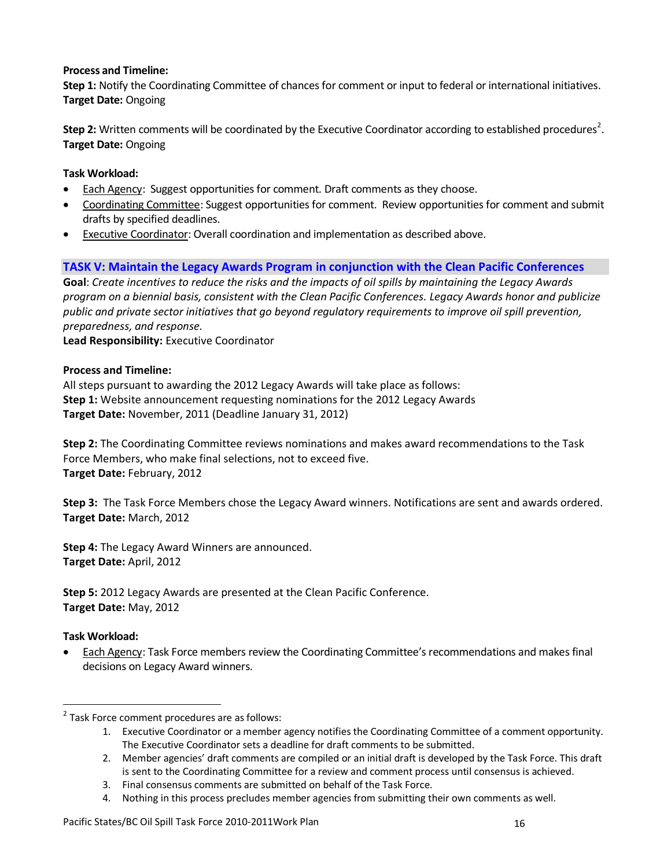#### **Process and Timeline:**

**Step 1:** Notify the Coordinating Committee of chances for comment or input to federal or international initiatives. **Target Date:** Ongoing

Step 2: Written comments will be coordinated by the Executive Coordinator according to established procedures<sup>2</sup>. **Target Date:** Ongoing

## **Task Workload:**

- Each Agency: Suggest opportunities for comment. Draft comments as they choose.
- Coordinating Committee: Suggest opportunities for comment. Review opportunities for comment and submit drafts by specified deadlines.
- Executive Coordinator: Overall coordination and implementation as described above.

## **TASK V: Maintain the Legacy Awards Program in conjunction with the Clean Pacific Conferences**

**Goal**: *Create incentives to reduce the risks and the impacts of oil spills by maintaining the Legacy Awards program on a biennial basis, consistent with the Clean Pacific Conferences. Legacy Awards honor and publicize public and private sector initiatives that go beyond regulatory requirements to improve oil spill prevention, preparedness, and response.*

**Lead Responsibility:** Executive Coordinator

#### **Process and Timeline:**

All steps pursuant to awarding the 2012 Legacy Awards will take place as follows: **Step 1:** Website announcement requesting nominations for the 2012 Legacy Awards **Target Date:** November, 2011 (Deadline January 31, 2012)

**Step 2:** The Coordinating Committee reviews nominations and makes award recommendations to the Task Force Members, who make final selections, not to exceed five. **Target Date:** February, 2012

**Step 3:** The Task Force Members chose the Legacy Award winners. Notifications are sent and awards ordered. **Target Date:** March, 2012

**Step 4:** The Legacy Award Winners are announced. **Target Date:** April, 2012

**Step 5:** 2012 Legacy Awards are presented at the Clean Pacific Conference. **Target Date:** May, 2012

#### **Task Workload:**

 $\overline{a}$ 

 Each Agency: Task Force members review the Coordinating Committee's recommendations and makes final decisions on Legacy Award winners.

<sup>&</sup>lt;sup>2</sup> Task Force comment procedures are as follows:

<sup>1.</sup> Executive Coordinator or a member agency notifies the Coordinating Committee of a comment opportunity. The Executive Coordinator sets a deadline for draft comments to be submitted.

<sup>2.</sup> Member agencies' draft comments are compiled or an initial draft is developed by the Task Force. This draft is sent to the Coordinating Committee for a review and comment process until consensus is achieved.

<sup>3.</sup> Final consensus comments are submitted on behalf of the Task Force.

<sup>4.</sup> Nothing in this process precludes member agencies from submitting their own comments as well.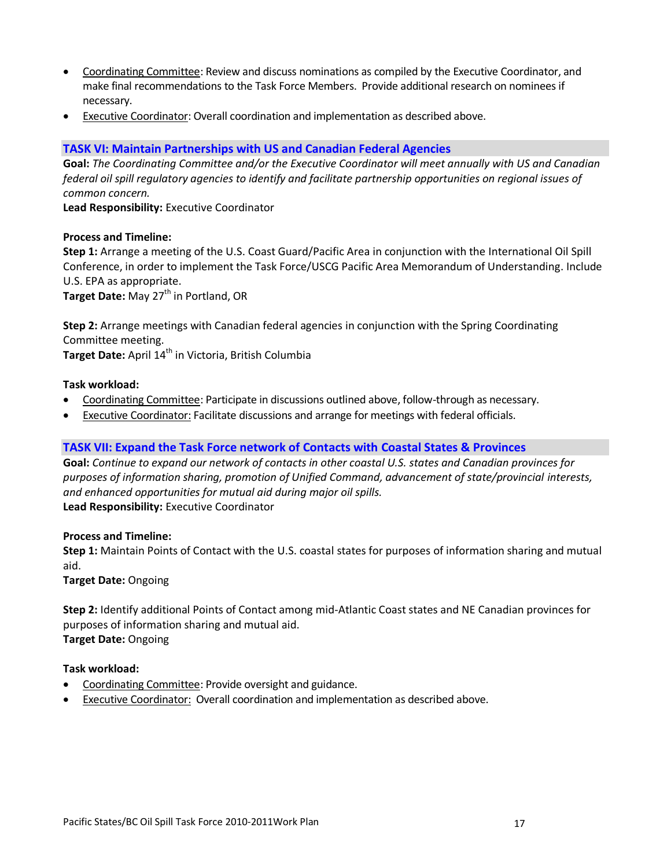- Coordinating Committee: Review and discuss nominations as compiled by the Executive Coordinator, and make final recommendations to the Task Force Members. Provide additional research on nominees if necessary.
- Executive Coordinator: Overall coordination and implementation as described above.

#### **TASK VI: Maintain Partnerships with US and Canadian Federal Agencies**

**Goal:** *The Coordinating Committee and/or the Executive Coordinator will meet annually with US and Canadian federal oil spill regulatory agencies to identify and facilitate partnership opportunities on regional issues of common concern.*

**Lead Responsibility:** Executive Coordinator

#### **Process and Timeline:**

**Step 1:** Arrange a meeting of the U.S. Coast Guard/Pacific Area in conjunction with the International Oil Spill Conference, in order to implement the Task Force/USCG Pacific Area Memorandum of Understanding. Include U.S. EPA as appropriate.

**Target Date:** May 27<sup>th</sup> in Portland, OR

**Step 2:** Arrange meetings with Canadian federal agencies in conjunction with the Spring Coordinating Committee meeting. Target Date: April 14<sup>th</sup> in Victoria, British Columbia

#### **Task workload:**

- Coordinating Committee: Participate in discussions outlined above, follow-through as necessary.
- Executive Coordinator: Facilitate discussions and arrange for meetings with federal officials.

#### **TASK VII: Expand the Task Force network of Contacts with Coastal States & Provinces**

**Goal:** *Continue to expand our network of contacts in other coastal U.S. states and Canadian provinces for purposes of information sharing, promotion of Unified Command, advancement of state/provincial interests, and enhanced opportunities for mutual aid during major oil spills.*  **Lead Responsibility:** Executive Coordinator

#### **Process and Timeline:**

**Step 1:** Maintain Points of Contact with the U.S. coastal states for purposes of information sharing and mutual aid.

**Target Date:** Ongoing

**Step 2:** Identify additional Points of Contact among mid-Atlantic Coast states and NE Canadian provinces for purposes of information sharing and mutual aid. **Target Date:** Ongoing

- Coordinating Committee: Provide oversight and guidance.
- Executive Coordinator: Overall coordination and implementation as described above.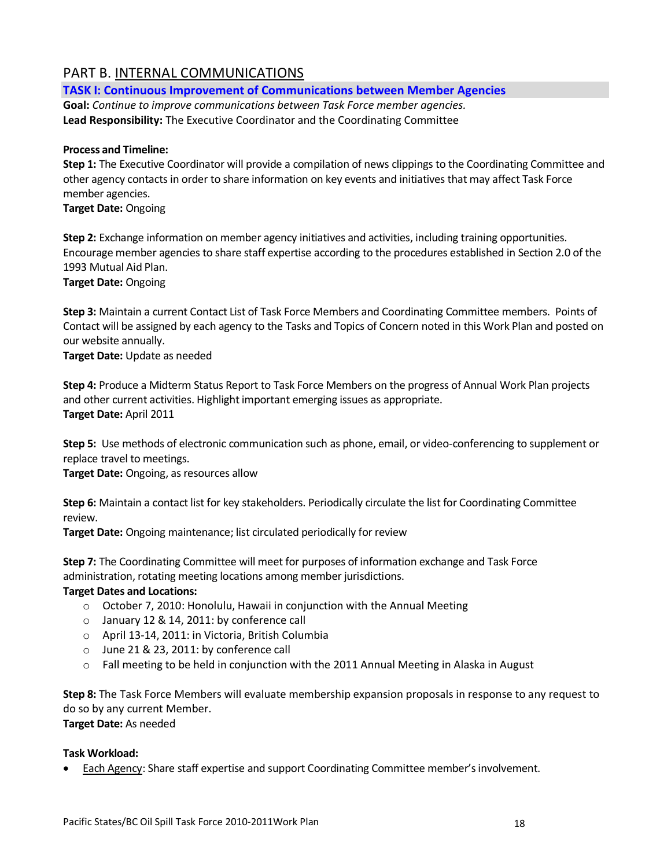## PART B. INTERNAL COMMUNICATIONS

**TASK I: Continuous Improvement of Communications between Member Agencies** 

**Goal:** *Continue to improve communications between Task Force member agencies.* **Lead Responsibility:** The Executive Coordinator and the Coordinating Committee

### **Process and Timeline:**

**Step 1:** The Executive Coordinator will provide a compilation of news clippings to the Coordinating Committee and other agency contacts in order to share information on key events and initiatives that may affect Task Force member agencies.

**Target Date:** Ongoing

**Step 2:** Exchange information on member agency initiatives and activities, including training opportunities. Encourage member agencies to share staff expertise according to the procedures established in Section 2.0 of the 1993 Mutual Aid Plan.

**Target Date:** Ongoing

**Step 3:** Maintain a current Contact List of Task Force Members and Coordinating Committee members. Points of Contact will be assigned by each agency to the Tasks and Topics of Concern noted in this Work Plan and posted on our website annually.

**Target Date:** Update as needed

**Step 4:** Produce a Midterm Status Report to Task Force Members on the progress of Annual Work Plan projects and other current activities. Highlight important emerging issues as appropriate. **Target Date:** April 2011

**Step 5:** Use methods of electronic communication such as phone, email, or video-conferencing to supplement or replace travel to meetings.

**Target Date:** Ongoing, as resources allow

**Step 6:** Maintain a contact list for key stakeholders. Periodically circulate the list for Coordinating Committee review.

**Target Date:** Ongoing maintenance; list circulated periodically for review

**Step 7:** The Coordinating Committee will meet for purposes of information exchange and Task Force administration, rotating meeting locations among member jurisdictions.

## **Target Dates and Locations:**

- o October 7, 2010: Honolulu, Hawaii in conjunction with the Annual Meeting
- o January 12 & 14, 2011: by conference call
- o April 13-14, 2011: in Victoria, British Columbia
- o June 21 & 23, 2011: by conference call
- $\circ$  Fall meeting to be held in conjunction with the 2011 Annual Meeting in Alaska in August

**Step 8:** The Task Force Members will evaluate membership expansion proposals in response to any request to do so by any current Member.

**Target Date:** As needed

#### **Task Workload:**

Each Agency: Share staff expertise and support Coordinating Committee member's involvement.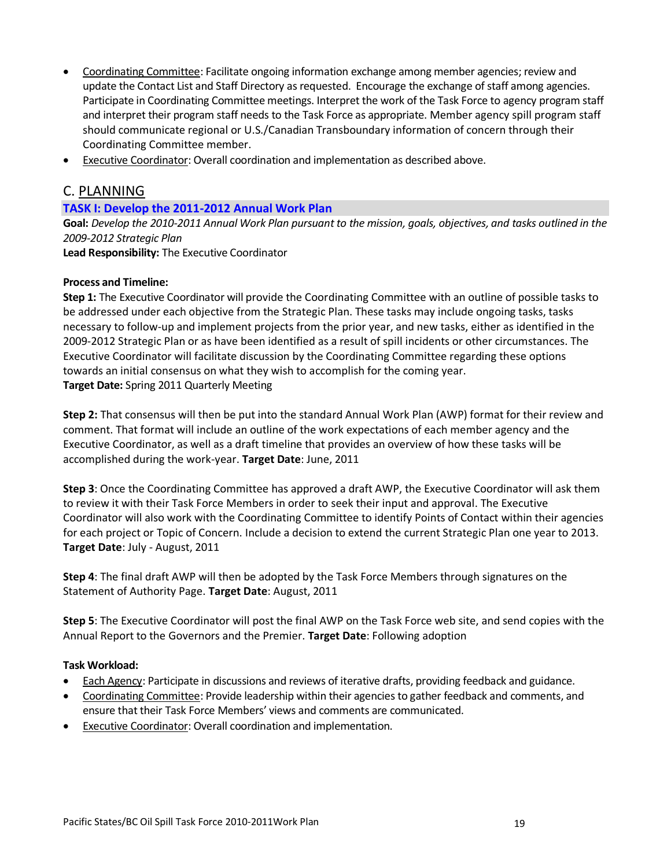- Coordinating Committee: Facilitate ongoing information exchange among member agencies; review and update the Contact List and Staff Directory as requested. Encourage the exchange of staff among agencies. Participate in Coordinating Committee meetings. Interpret the work of the Task Force to agency program staff and interpret their program staff needs to the Task Force as appropriate. Member agency spill program staff should communicate regional or U.S./Canadian Transboundary information of concern through their Coordinating Committee member.
- Executive Coordinator: Overall coordination and implementation as described above.

## C. PLANNING

#### **TASK I: Develop the 2011-2012 Annual Work Plan**

**Goal:** *Develop the 2010-2011 Annual Work Plan pursuant to the mission, goals, objectives, and tasks outlined in the 2009-2012 Strategic Plan*

**Lead Responsibility:** The Executive Coordinator

#### **Process and Timeline:**

**Step 1:** The Executive Coordinator will provide the Coordinating Committee with an outline of possible tasks to be addressed under each objective from the Strategic Plan. These tasks may include ongoing tasks, tasks necessary to follow-up and implement projects from the prior year, and new tasks, either as identified in the 2009-2012 Strategic Plan or as have been identified as a result of spill incidents or other circumstances. The Executive Coordinator will facilitate discussion by the Coordinating Committee regarding these options towards an initial consensus on what they wish to accomplish for the coming year. **Target Date:** Spring 2011 Quarterly Meeting

**Step 2:** That consensus will then be put into the standard Annual Work Plan (AWP) format for their review and comment. That format will include an outline of the work expectations of each member agency and the Executive Coordinator, as well as a draft timeline that provides an overview of how these tasks will be accomplished during the work-year. **Target Date**: June, 2011

**Step 3**: Once the Coordinating Committee has approved a draft AWP, the Executive Coordinator will ask them to review it with their Task Force Members in order to seek their input and approval. The Executive Coordinator will also work with the Coordinating Committee to identify Points of Contact within their agencies for each project or Topic of Concern. Include a decision to extend the current Strategic Plan one year to 2013. **Target Date**: July - August, 2011

**Step 4**: The final draft AWP will then be adopted by the Task Force Members through signatures on the Statement of Authority Page. **Target Date**: August, 2011

**Step 5**: The Executive Coordinator will post the final AWP on the Task Force web site, and send copies with the Annual Report to the Governors and the Premier. **Target Date**: Following adoption

- Each Agency: Participate in discussions and reviews of iterative drafts, providing feedback and guidance.
- Coordinating Committee: Provide leadership within their agencies to gather feedback and comments, and ensure that their Task Force Members' views and comments are communicated.
- Executive Coordinator: Overall coordination and implementation.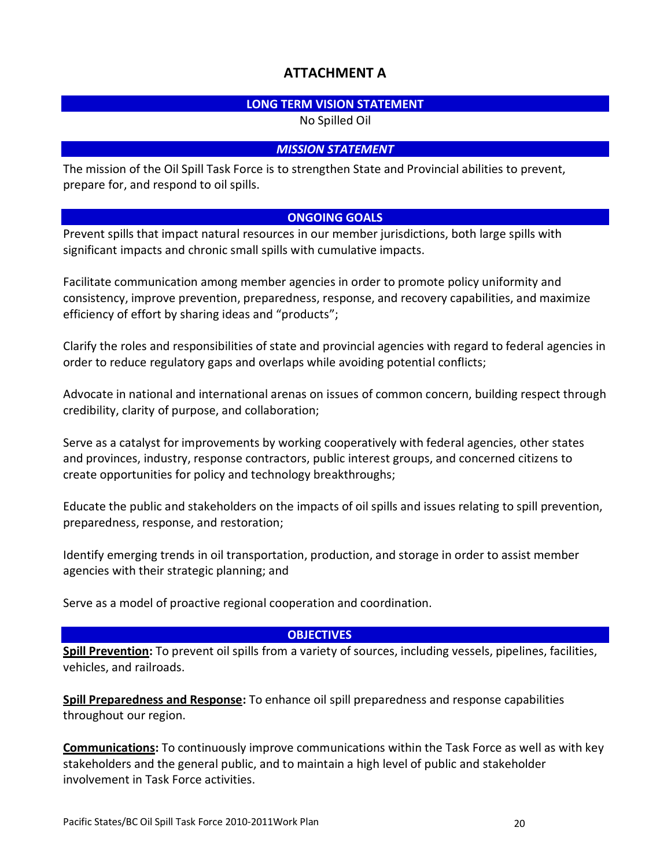## **ATTACHMENT A**

## **LONG TERM VISION STATEMENT**

No Spilled Oil

## *MISSION STATEMENT*

The mission of the Oil Spill Task Force is to strengthen State and Provincial abilities to prevent, prepare for, and respond to oil spills.

## **ONGOING GOALS**

Prevent spills that impact natural resources in our member jurisdictions, both large spills with significant impacts and chronic small spills with cumulative impacts.

Facilitate communication among member agencies in order to promote policy uniformity and consistency, improve prevention, preparedness, response, and recovery capabilities, and maximize efficiency of effort by sharing ideas and "products";

Clarify the roles and responsibilities of state and provincial agencies with regard to federal agencies in order to reduce regulatory gaps and overlaps while avoiding potential conflicts;

Advocate in national and international arenas on issues of common concern, building respect through credibility, clarity of purpose, and collaboration;

Serve as a catalyst for improvements by working cooperatively with federal agencies, other states and provinces, industry, response contractors, public interest groups, and concerned citizens to create opportunities for policy and technology breakthroughs;

Educate the public and stakeholders on the impacts of oil spills and issues relating to spill prevention, preparedness, response, and restoration;

Identify emerging trends in oil transportation, production, and storage in order to assist member agencies with their strategic planning; and

Serve as a model of proactive regional cooperation and coordination.

## **OBJECTIVES**

**Spill Prevention:** To prevent oil spills from a variety of sources, including vessels, pipelines, facilities, vehicles, and railroads.

**Spill Preparedness and Response:** To enhance oil spill preparedness and response capabilities throughout our region.

**Communications:** To continuously improve communications within the Task Force as well as with key stakeholders and the general public, and to maintain a high level of public and stakeholder involvement in Task Force activities.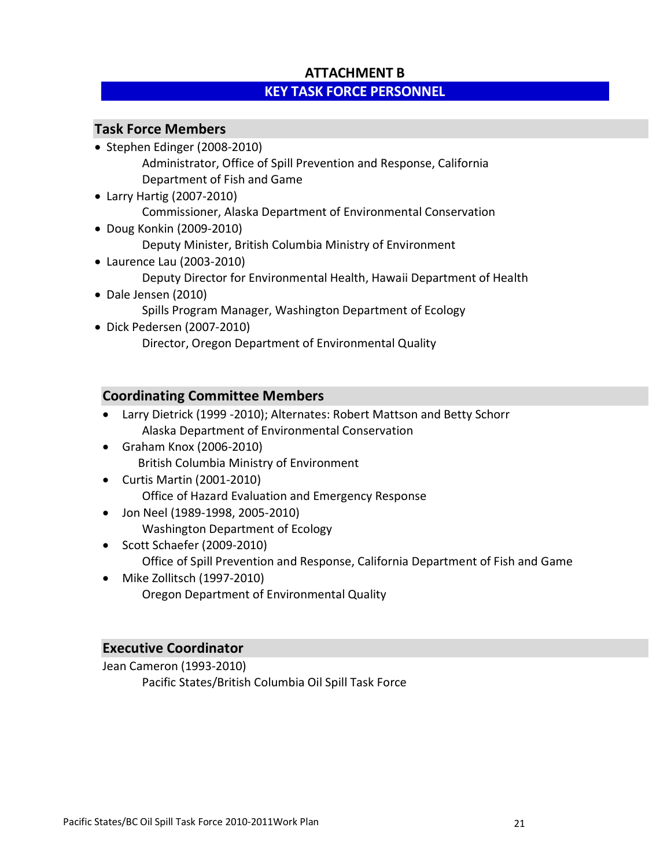## **ATTACHMENT B KEY TASK FORCE PERSONNEL**

## **Task Force Members**

- Stephen Edinger (2008-2010) Administrator, Office of Spill Prevention and Response, California Department of Fish and Game
- Larry Hartig (2007-2010) Commissioner, Alaska Department of Environmental Conservation Doug Konkin (2009-2010)
	- Deputy Minister, British Columbia Ministry of Environment
- Laurence Lau (2003-2010) Deputy Director for Environmental Health, Hawaii Department of Health Dale Jensen (2010)
	- Spills Program Manager, Washington Department of Ecology
- Dick Pedersen (2007-2010) Director, Oregon Department of Environmental Quality

## **Coordinating Committee Members**

- Larry Dietrick (1999 -2010); Alternates: Robert Mattson and Betty Schorr Alaska Department of Environmental Conservation
- Graham Knox (2006-2010) British Columbia Ministry of Environment
- Curtis Martin (2001-2010) Office of Hazard Evaluation and Emergency Response
- Jon Neel (1989-1998, 2005-2010) Washington Department of Ecology
- Scott Schaefer (2009-2010) Office of Spill Prevention and Response, California Department of Fish and Game
- Mike Zollitsch (1997-2010) Oregon Department of Environmental Quality

## **Executive Coordinator**

Jean Cameron (1993-2010) Pacific States/British Columbia Oil Spill Task Force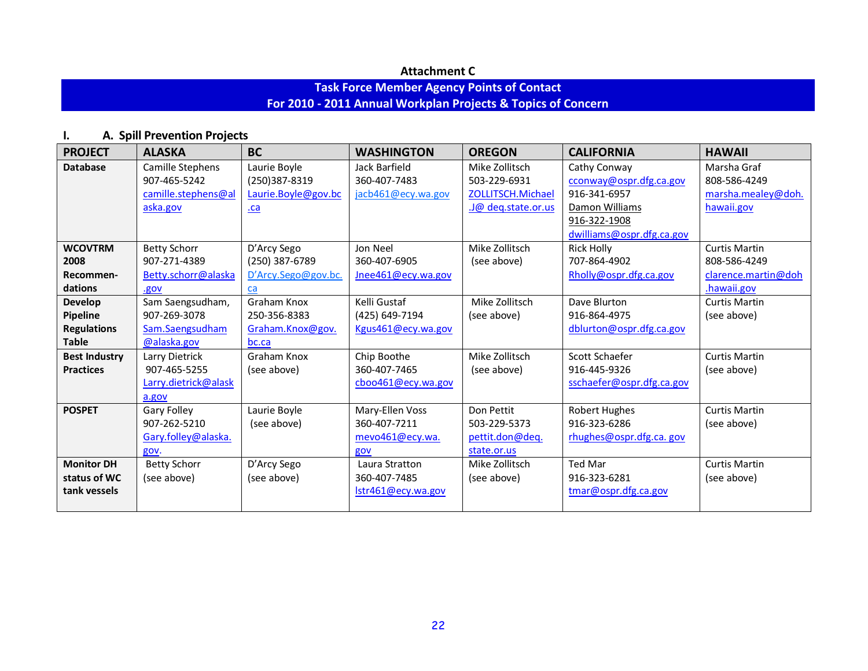## **Attachment C**

## **Task Force Member Agency Points of Contact For 2010 - 2011 Annual Workplan Projects & Topics of Concern**

# **I. A. Spill Prevention Projects**

| <b>PROJECT</b>       | <b>ALASKA</b>        | <b>BC</b>           | <b>WASHINGTON</b>  | <b>OREGON</b>      | <b>CALIFORNIA</b>         | <b>HAWAII</b>        |
|----------------------|----------------------|---------------------|--------------------|--------------------|---------------------------|----------------------|
| <b>Database</b>      | Camille Stephens     | Laurie Boyle        | Jack Barfield      | Mike Zollitsch     | Cathy Conway              | Marsha Graf          |
|                      | 907-465-5242         | (250)387-8319       | 360-407-7483       | 503-229-6931       | cconway@ospr.dfg.ca.gov   | 808-586-4249         |
|                      | camille.stephens@al  | Laurie.Boyle@gov.bc | jacb461@ecy.wa.gov | ZOLLITSCH.Michael  | 916-341-6957              | marsha.mealey@doh.   |
|                      | aska.gov             | $\underline{ca}$    |                    | J@ deq.state.or.us | Damon Williams            | hawaii.gov           |
|                      |                      |                     |                    |                    | 916-322-1908              |                      |
|                      |                      |                     |                    |                    | dwilliams@ospr.dfg.ca.gov |                      |
| <b>WCOVTRM</b>       | <b>Betty Schorr</b>  | D'Arcy Sego         | Jon Neel           | Mike Zollitsch     | <b>Rick Holly</b>         | <b>Curtis Martin</b> |
| 2008                 | 907-271-4389         | (250) 387-6789      | 360-407-6905       | (see above)        | 707-864-4902              | 808-586-4249         |
| Recommen-            | Betty.schorr@alaska  | D'Arcy.Sego@gov.bc. | Jnee461@ecy.wa.gov |                    | Rholly@ospr.dfg.ca.gov    | clarence.martin@doh  |
| dations              | .gov                 | ca                  |                    |                    |                           | .hawaii.gov          |
| <b>Develop</b>       | Sam Saengsudham,     | <b>Graham Knox</b>  | Kelli Gustaf       | Mike Zollitsch     | Dave Blurton              | <b>Curtis Martin</b> |
| <b>Pipeline</b>      | 907-269-3078         | 250-356-8383        | (425) 649-7194     | (see above)        | 916-864-4975              | (see above)          |
| <b>Regulations</b>   | Sam.Saengsudham      | Graham.Knox@gov.    | Kgus461@ecy.wa.gov |                    | dblurton@ospr.dfg.ca.gov  |                      |
| <b>Table</b>         | @alaska.gov          | bc.ca               |                    |                    |                           |                      |
| <b>Best Industry</b> | Larry Dietrick       | Graham Knox         | Chip Boothe        | Mike Zollitsch     | Scott Schaefer            | <b>Curtis Martin</b> |
| <b>Practices</b>     | 907-465-5255         | (see above)         | 360-407-7465       | (see above)        | 916-445-9326              | (see above)          |
|                      | Larry.dietrick@alask |                     | cboo461@ecy.wa.gov |                    | sschaefer@ospr.dfg.ca.gov |                      |
|                      | a.gov                |                     |                    |                    |                           |                      |
| <b>POSPET</b>        | <b>Gary Folley</b>   | Laurie Boyle        | Mary-Ellen Voss    | Don Pettit         | <b>Robert Hughes</b>      | <b>Curtis Martin</b> |
|                      | 907-262-5210         | (see above)         | 360-407-7211       | 503-229-5373       | 916-323-6286              | (see above)          |
|                      | Gary.folley@alaska.  |                     | mevo461@ecy.wa.    | pettit.don@deq.    | rhughes@ospr.dfg.ca.gov   |                      |
|                      | gov.                 |                     | gov                | state.or.us        |                           |                      |
| <b>Monitor DH</b>    | <b>Betty Schorr</b>  | D'Arcy Sego         | Laura Stratton     | Mike Zollitsch     | <b>Ted Mar</b>            | <b>Curtis Martin</b> |
| status of WC         | (see above)          | (see above)         | 360-407-7485       | (see above)        | 916-323-6281              | (see above)          |
| tank vessels         |                      |                     | lstr461@ecy.wa.gov |                    | tmar@ospr.dfg.ca.gov      |                      |
|                      |                      |                     |                    |                    |                           |                      |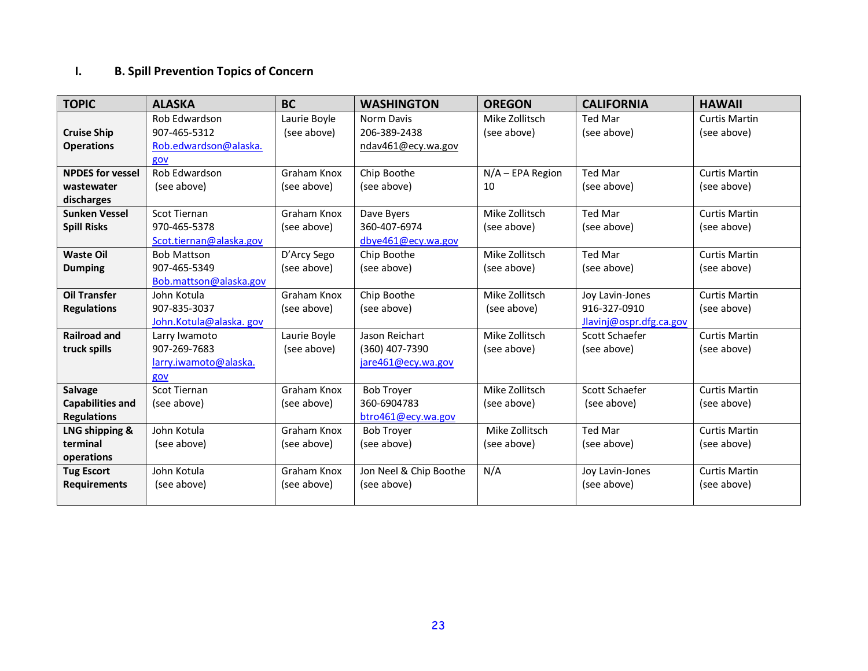## **I. B. Spill Prevention Topics of Concern**

| <b>TOPIC</b>            | <b>ALASKA</b>           | <b>BC</b>    | <b>WASHINGTON</b>      | <b>OREGON</b>      | <b>CALIFORNIA</b>       | <b>HAWAII</b>        |
|-------------------------|-------------------------|--------------|------------------------|--------------------|-------------------------|----------------------|
|                         | Rob Edwardson           | Laurie Boyle | Norm Davis             | Mike Zollitsch     | <b>Ted Mar</b>          | <b>Curtis Martin</b> |
| <b>Cruise Ship</b>      | 907-465-5312            | (see above)  | 206-389-2438           | (see above)        | (see above)             | (see above)          |
| <b>Operations</b>       | Rob.edwardson@alaska.   |              | ndav461@ecy.wa.gov     |                    |                         |                      |
|                         | gov                     |              |                        |                    |                         |                      |
| <b>NPDES for vessel</b> | Rob Edwardson           | Graham Knox  | Chip Boothe            | $N/A$ – EPA Region | Ted Mar                 | <b>Curtis Martin</b> |
| wastewater              | (see above)             | (see above)  | (see above)            | 10                 | (see above)             | (see above)          |
| discharges              |                         |              |                        |                    |                         |                      |
| <b>Sunken Vessel</b>    | Scot Tiernan            | Graham Knox  | Dave Byers             | Mike Zollitsch     | Ted Mar                 | <b>Curtis Martin</b> |
| <b>Spill Risks</b>      | 970-465-5378            | (see above)  | 360-407-6974           | (see above)        | (see above)             | (see above)          |
|                         | Scot.tiernan@alaska.gov |              | dbye461@ecy.wa.gov     |                    |                         |                      |
| <b>Waste Oil</b>        | <b>Bob Mattson</b>      | D'Arcy Sego  | Chip Boothe            | Mike Zollitsch     | Ted Mar                 | <b>Curtis Martin</b> |
| <b>Dumping</b>          | 907-465-5349            | (see above)  | (see above)            | (see above)        | (see above)             | (see above)          |
|                         | Bob.mattson@alaska.gov  |              |                        |                    |                         |                      |
| <b>Oil Transfer</b>     | John Kotula             | Graham Knox  | Chip Boothe            | Mike Zollitsch     | Joy Lavin-Jones         | <b>Curtis Martin</b> |
| <b>Regulations</b>      | 907-835-3037            | (see above)  | (see above)            | (see above)        | 916-327-0910            | (see above)          |
|                         | John.Kotula@alaska.gov  |              |                        |                    | Jlavinj@ospr.dfg.ca.gov |                      |
| <b>Railroad and</b>     | Larry Iwamoto           | Laurie Boyle | Jason Reichart         | Mike Zollitsch     | Scott Schaefer          | <b>Curtis Martin</b> |
| truck spills            | 907-269-7683            | (see above)  | (360) 407-7390         | (see above)        | (see above)             | (see above)          |
|                         | larry.iwamoto@alaska.   |              | jare461@ecy.wa.gov     |                    |                         |                      |
|                         | gov                     |              |                        |                    |                         |                      |
| <b>Salvage</b>          | <b>Scot Tiernan</b>     | Graham Knox  | <b>Bob Troyer</b>      | Mike Zollitsch     | Scott Schaefer          | <b>Curtis Martin</b> |
| <b>Capabilities and</b> | (see above)             | (see above)  | 360-6904783            | (see above)        | (see above)             | (see above)          |
| <b>Regulations</b>      |                         |              | btro461@ecy.wa.gov     |                    |                         |                      |
| LNG shipping &          | John Kotula             | Graham Knox  | <b>Bob Troyer</b>      | Mike Zollitsch     | <b>Ted Mar</b>          | <b>Curtis Martin</b> |
| terminal                | (see above)             | (see above)  | (see above)            | (see above)        | (see above)             | (see above)          |
| operations              |                         |              |                        |                    |                         |                      |
| <b>Tug Escort</b>       | John Kotula             | Graham Knox  | Jon Neel & Chip Boothe | N/A                | Joy Lavin-Jones         | <b>Curtis Martin</b> |
| <b>Requirements</b>     | (see above)             | (see above)  | (see above)            |                    | (see above)             | (see above)          |
|                         |                         |              |                        |                    |                         |                      |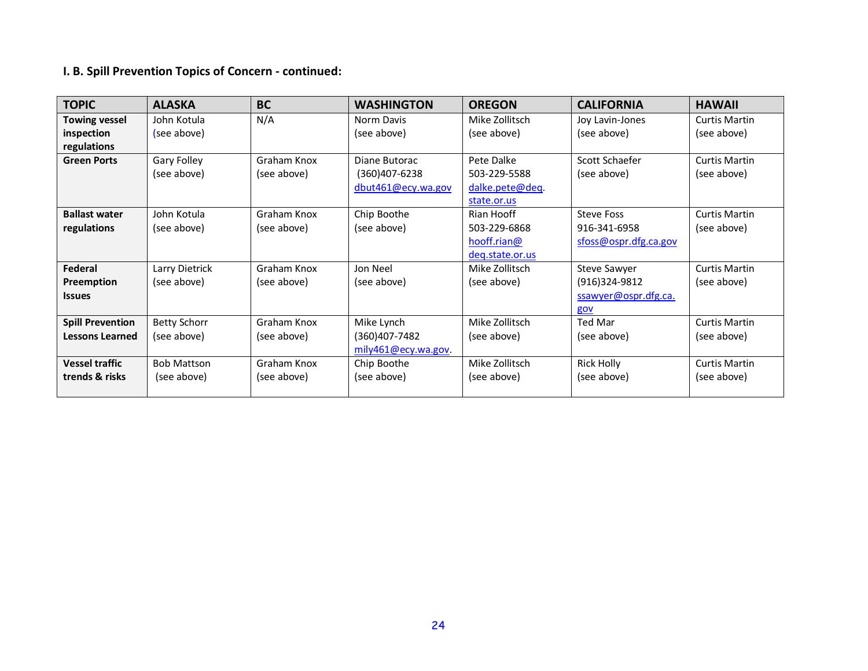# **I. B. Spill Prevention Topics of Concern - continued:**

| <b>TOPIC</b>            | <b>ALASKA</b>       | <b>BC</b>   | <b>WASHINGTON</b>   | <b>OREGON</b>   | <b>CALIFORNIA</b>     | <b>HAWAII</b>        |
|-------------------------|---------------------|-------------|---------------------|-----------------|-----------------------|----------------------|
| <b>Towing vessel</b>    | John Kotula         | N/A         | Norm Davis          | Mike Zollitsch  | Joy Lavin-Jones       | <b>Curtis Martin</b> |
| inspection              | (see above)         |             | (see above)         | (see above)     | (see above)           | (see above)          |
| regulations             |                     |             |                     |                 |                       |                      |
| <b>Green Ports</b>      | <b>Gary Folley</b>  | Graham Knox | Diane Butorac       | Pete Dalke      | Scott Schaefer        | Curtis Martin        |
|                         | (see above)         | (see above) | $(360)407 - 6238$   | 503-229-5588    | (see above)           | (see above)          |
|                         |                     |             | dbut461@ecy.wa.gov  | dalke.pete@deq. |                       |                      |
|                         |                     |             |                     | state.or.us     |                       |                      |
| <b>Ballast water</b>    | John Kotula         | Graham Knox | Chip Boothe         | Rian Hooff      | <b>Steve Foss</b>     | <b>Curtis Martin</b> |
| regulations             | (see above)         | (see above) | (see above)         | 503-229-6868    | 916-341-6958          | (see above)          |
|                         |                     |             |                     | hooff.rian@     | sfoss@ospr.dfg.ca.gov |                      |
|                         |                     |             |                     | deg.state.or.us |                       |                      |
| Federal                 | Larry Dietrick      | Graham Knox | Jon Neel            | Mike Zollitsch  | Steve Sawyer          | <b>Curtis Martin</b> |
| Preemption              | (see above)         | (see above) | (see above)         | (see above)     | (916)324-9812         | (see above)          |
| <b>Issues</b>           |                     |             |                     |                 | ssawyer@ospr.dfg.ca.  |                      |
|                         |                     |             |                     |                 | gov                   |                      |
| <b>Spill Prevention</b> | <b>Betty Schorr</b> | Graham Knox | Mike Lynch          | Mike Zollitsch  | Ted Mar               | <b>Curtis Martin</b> |
| <b>Lessons Learned</b>  | (see above)         | (see above) | (360)407-7482       | (see above)     | (see above)           | (see above)          |
|                         |                     |             | mily461@ecy.wa.gov. |                 |                       |                      |
| <b>Vessel traffic</b>   | <b>Bob Mattson</b>  | Graham Knox | Chip Boothe         | Mike Zollitsch  | <b>Rick Holly</b>     | <b>Curtis Martin</b> |
| trends & risks          | (see above)         | (see above) | (see above)         | (see above)     | (see above)           | (see above)          |
|                         |                     |             |                     |                 |                       |                      |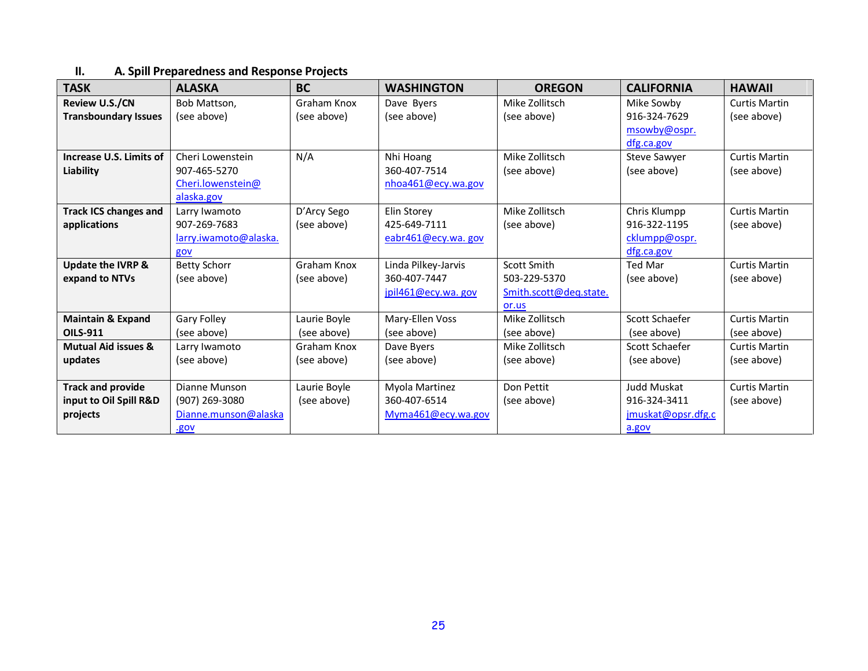## **II. A. Spill Preparedness and Response Projects**

| <b>TASK</b>                    | <b>ALASKA</b>         | <b>BC</b>    | <b>WASHINGTON</b>   | <b>OREGON</b>          | <b>CALIFORNIA</b>   | <b>HAWAII</b>        |
|--------------------------------|-----------------------|--------------|---------------------|------------------------|---------------------|----------------------|
| <b>Review U.S./CN</b>          | Bob Mattson,          | Graham Knox  | Dave Byers          | Mike Zollitsch         | Mike Sowby          | <b>Curtis Martin</b> |
| <b>Transboundary Issues</b>    | (see above)           | (see above)  | (see above)         | (see above)            | 916-324-7629        | (see above)          |
|                                |                       |              |                     |                        | msowby@ospr.        |                      |
|                                |                       |              |                     |                        | dfg.ca.gov          |                      |
| Increase U.S. Limits of        | Cheri Lowenstein      | N/A          | Nhi Hoang           | Mike Zollitsch         | <b>Steve Sawyer</b> | <b>Curtis Martin</b> |
| Liability                      | 907-465-5270          |              | 360-407-7514        | (see above)            | (see above)         | (see above)          |
|                                | Cheri.lowenstein@     |              | nhoa461@ecy.wa.gov  |                        |                     |                      |
|                                | alaska.gov            |              |                     |                        |                     |                      |
| <b>Track ICS changes and</b>   | Larry Iwamoto         | D'Arcy Sego  | Elin Storey         | Mike Zollitsch         | Chris Klumpp        | <b>Curtis Martin</b> |
| applications                   | 907-269-7683          | (see above)  | 425-649-7111        | (see above)            | 916-322-1195        | (see above)          |
|                                | larry.iwamoto@alaska. |              | eabr461@ecy.wa.gov  |                        | cklumpp@ospr.       |                      |
|                                | gov                   |              |                     |                        | dfg.ca.gov          |                      |
| <b>Update the IVRP &amp;</b>   | <b>Betty Schorr</b>   | Graham Knox  | Linda Pilkey-Jarvis | Scott Smith            | <b>Ted Mar</b>      | <b>Curtis Martin</b> |
| expand to NTVs                 | (see above)           | (see above)  | 360-407-7447        | 503-229-5370           | (see above)         | (see above)          |
|                                |                       |              | pi461@ecy.wa.gov    | Smith.scott@deg.state. |                     |                      |
|                                |                       |              |                     | or.us                  |                     |                      |
| <b>Maintain &amp; Expand</b>   | <b>Gary Folley</b>    | Laurie Boyle | Mary-Ellen Voss     | Mike Zollitsch         | Scott Schaefer      | <b>Curtis Martin</b> |
| <b>OILS-911</b>                | (see above)           | (see above)  | (see above)         | (see above)            | (see above)         | (see above)          |
| <b>Mutual Aid issues &amp;</b> | Larry Iwamoto         | Graham Knox  | Dave Byers          | Mike Zollitsch         | Scott Schaefer      | <b>Curtis Martin</b> |
| updates                        | (see above)           | (see above)  | (see above)         | (see above)            | (see above)         | (see above)          |
|                                |                       |              |                     |                        |                     |                      |
| <b>Track and provide</b>       | Dianne Munson         | Laurie Boyle | Myola Martinez      | Don Pettit             | Judd Muskat         | <b>Curtis Martin</b> |
| input to Oil Spill R&D         | (907) 269-3080        | (see above)  | 360-407-6514        | (see above)            | 916-324-3411        | (see above)          |
| projects                       | Dianne.munson@alaska  |              | Myma461@ecy.wa.gov  |                        | imuskat@opsr.dfg.c  |                      |
|                                | .gov                  |              |                     |                        | a.gov               |                      |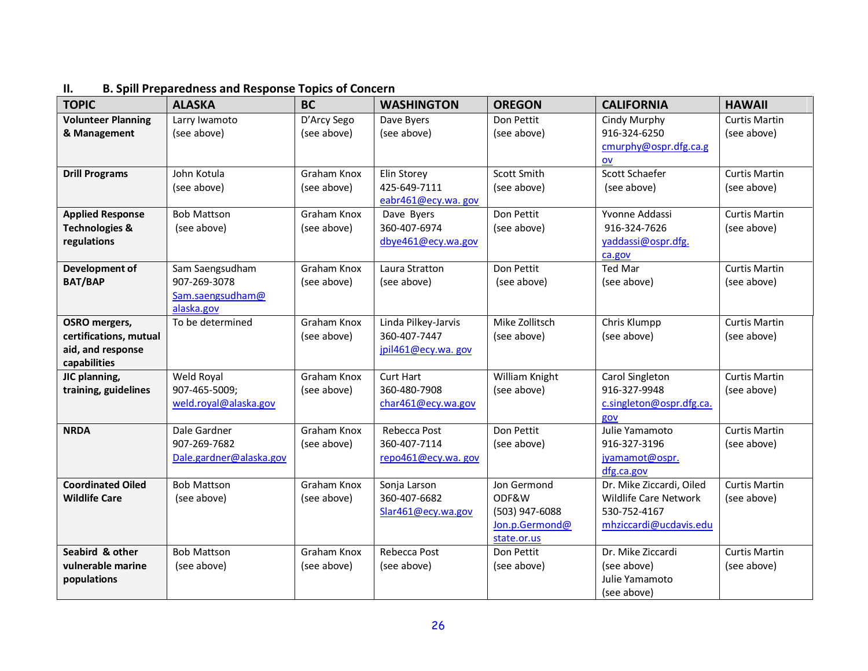| <b>TOPIC</b>              | <b>ALASKA</b>           | <b>BC</b>   | <b>WASHINGTON</b>   | <b>OREGON</b>  | <b>CALIFORNIA</b>            | <b>HAWAII</b>        |
|---------------------------|-------------------------|-------------|---------------------|----------------|------------------------------|----------------------|
| <b>Volunteer Planning</b> | Larry Iwamoto           | D'Arcy Sego | Dave Byers          | Don Pettit     | Cindy Murphy                 | <b>Curtis Martin</b> |
| & Management              | (see above)             | (see above) | (see above)         | (see above)    | 916-324-6250                 | (see above)          |
|                           |                         |             |                     |                | cmurphy@ospr.dfg.ca.g        |                      |
|                           |                         |             |                     |                | OV                           |                      |
| <b>Drill Programs</b>     | John Kotula             | Graham Knox | Elin Storey         | Scott Smith    | Scott Schaefer               | <b>Curtis Martin</b> |
|                           | (see above)             | (see above) | 425-649-7111        | (see above)    | (see above)                  | (see above)          |
|                           |                         |             | eabr461@ecy.wa.gov  |                |                              |                      |
| <b>Applied Response</b>   | <b>Bob Mattson</b>      | Graham Knox | Dave Byers          | Don Pettit     | Yvonne Addassi               | <b>Curtis Martin</b> |
| <b>Technologies &amp;</b> | (see above)             | (see above) | 360-407-6974        | (see above)    | 916-324-7626                 | (see above)          |
| regulations               |                         |             | dbye461@ecy.wa.gov  |                | yaddassi@ospr.dfg.           |                      |
|                           |                         |             |                     |                | ca.gov                       |                      |
| Development of            | Sam Saengsudham         | Graham Knox | Laura Stratton      | Don Pettit     | Ted Mar                      | <b>Curtis Martin</b> |
| <b>BAT/BAP</b>            | 907-269-3078            | (see above) | (see above)         | (see above)    | (see above)                  | (see above)          |
|                           | Sam.saengsudham@        |             |                     |                |                              |                      |
|                           | alaska.gov              |             |                     |                |                              |                      |
| <b>OSRO</b> mergers,      | To be determined        | Graham Knox | Linda Pilkey-Jarvis | Mike Zollitsch | Chris Klumpp                 | <b>Curtis Martin</b> |
| certifications, mutual    |                         | (see above) | 360-407-7447        | (see above)    | (see above)                  | (see above)          |
| aid, and response         |                         |             | jpil461@ecy.wa.gov  |                |                              |                      |
| capabilities              |                         |             |                     |                |                              |                      |
| JIC planning,             | Weld Royal              | Graham Knox | <b>Curt Hart</b>    | William Knight | Carol Singleton              | <b>Curtis Martin</b> |
| training, guidelines      | 907-465-5009;           | (see above) | 360-480-7908        | (see above)    | 916-327-9948                 | (see above)          |
|                           | weld.royal@alaska.gov   |             | char461@ecy.wa.gov  |                | c.singleton@ospr.dfg.ca.     |                      |
|                           |                         |             |                     |                | gov                          |                      |
| <b>NRDA</b>               | Dale Gardner            | Graham Knox | Rebecca Post        | Don Pettit     | Julie Yamamoto               | <b>Curtis Martin</b> |
|                           | 907-269-7682            | (see above) | 360-407-7114        | (see above)    | 916-327-3196                 | (see above)          |
|                           | Dale.gardner@alaska.gov |             | repo461@ecy.wa.gov  |                | jyamamot@ospr.<br>dfg.ca.gov |                      |
| <b>Coordinated Oiled</b>  | <b>Bob Mattson</b>      | Graham Knox | Sonja Larson        | Jon Germond    | Dr. Mike Ziccardi, Oiled     | <b>Curtis Martin</b> |
| <b>Wildlife Care</b>      | (see above)             | (see above) | 360-407-6682        | ODF&W          | Wildlife Care Network        | (see above)          |
|                           |                         |             | Slar461@ecy.wa.gov  | (503) 947-6088 | 530-752-4167                 |                      |
|                           |                         |             |                     | Jon.p.Germond@ | mhziccardi@ucdavis.edu       |                      |
|                           |                         |             |                     | state.or.us    |                              |                      |
| Seabird & other           | <b>Bob Mattson</b>      | Graham Knox | Rebecca Post        | Don Pettit     | Dr. Mike Ziccardi            | <b>Curtis Martin</b> |
| vulnerable marine         | (see above)             | (see above) | (see above)         | (see above)    | (see above)                  | (see above)          |
| populations               |                         |             |                     |                | Julie Yamamoto               |                      |
|                           |                         |             |                     |                | (see above)                  |                      |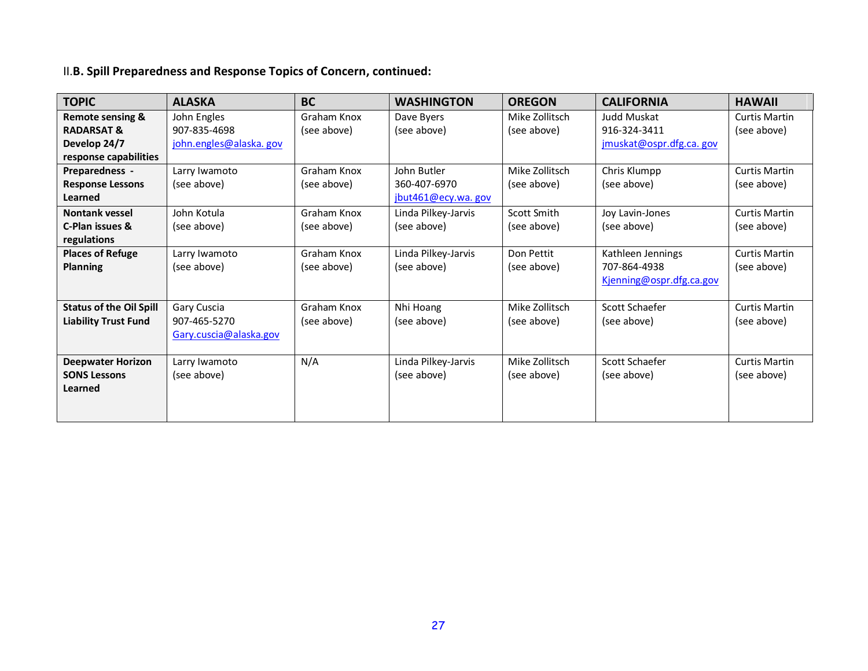# II.**B. Spill Preparedness and Response Topics of Concern, continued:**

| <b>TOPIC</b>                   | <b>ALASKA</b>          | <b>BC</b>   | <b>WASHINGTON</b>   | <b>OREGON</b>  | <b>CALIFORNIA</b>        | <b>HAWAII</b>        |
|--------------------------------|------------------------|-------------|---------------------|----------------|--------------------------|----------------------|
| <b>Remote sensing &amp;</b>    | John Engles            | Graham Knox | Dave Byers          | Mike Zollitsch | Judd Muskat              | <b>Curtis Martin</b> |
| <b>RADARSAT &amp;</b>          | 907-835-4698           | (see above) | (see above)         | (see above)    | 916-324-3411             | (see above)          |
| Develop 24/7                   | john.engles@alaska.gov |             |                     |                | jmuskat@ospr.dfg.ca. gov |                      |
| response capabilities          |                        |             |                     |                |                          |                      |
| Preparedness -                 | Larry Iwamoto          | Graham Knox | John Butler         | Mike Zollitsch | Chris Klumpp             | <b>Curtis Martin</b> |
| <b>Response Lessons</b>        | (see above)            | (see above) | 360-407-6970        | (see above)    | (see above)              | (see above)          |
| Learned                        |                        |             | jbut461@ecy.wa. gov |                |                          |                      |
| <b>Nontank vessel</b>          | John Kotula            | Graham Knox | Linda Pilkey-Jarvis | Scott Smith    | Joy Lavin-Jones          | <b>Curtis Martin</b> |
| C-Plan issues &                | (see above)            | (see above) | (see above)         | (see above)    | (see above)              | (see above)          |
| regulations                    |                        |             |                     |                |                          |                      |
| <b>Places of Refuge</b>        | Larry Iwamoto          | Graham Knox | Linda Pilkey-Jarvis | Don Pettit     | Kathleen Jennings        | <b>Curtis Martin</b> |
| <b>Planning</b>                | (see above)            | (see above) | (see above)         | (see above)    | 707-864-4938             | (see above)          |
|                                |                        |             |                     |                | Kjenning@ospr.dfg.ca.gov |                      |
|                                |                        |             |                     |                |                          |                      |
| <b>Status of the Oil Spill</b> | Gary Cuscia            | Graham Knox | Nhi Hoang           | Mike Zollitsch | Scott Schaefer           | <b>Curtis Martin</b> |
| <b>Liability Trust Fund</b>    | 907-465-5270           | (see above) | (see above)         | (see above)    | (see above)              | (see above)          |
|                                | Gary.cuscia@alaska.gov |             |                     |                |                          |                      |
|                                |                        |             |                     |                |                          |                      |
| <b>Deepwater Horizon</b>       | Larry Iwamoto          | N/A         | Linda Pilkey-Jarvis | Mike Zollitsch | Scott Schaefer           | <b>Curtis Martin</b> |
| <b>SONS Lessons</b>            | (see above)            |             | (see above)         | (see above)    | (see above)              | (see above)          |
| Learned                        |                        |             |                     |                |                          |                      |
|                                |                        |             |                     |                |                          |                      |
|                                |                        |             |                     |                |                          |                      |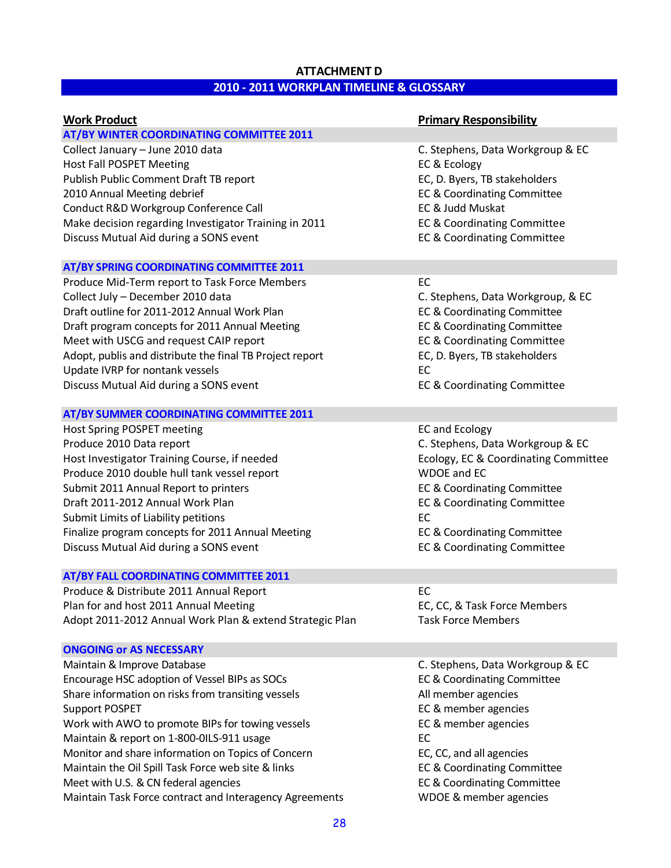## **ATTACHMENT D 2010 - 2011 WORKPLAN TIMELINE & GLOSSARY**

| <b>Work Product</b>                                                                                                                                                                                                                                                                                                                                                                                              | <b>Primary Responsibility</b>                                                                                                                                                                                                                                        |
|------------------------------------------------------------------------------------------------------------------------------------------------------------------------------------------------------------------------------------------------------------------------------------------------------------------------------------------------------------------------------------------------------------------|----------------------------------------------------------------------------------------------------------------------------------------------------------------------------------------------------------------------------------------------------------------------|
| <b>AT/BY WINTER COORDINATING COMMITTEE 2011</b>                                                                                                                                                                                                                                                                                                                                                                  |                                                                                                                                                                                                                                                                      |
| Collect January - June 2010 data<br><b>Host Fall POSPET Meeting</b><br>Publish Public Comment Draft TB report<br>2010 Annual Meeting debrief<br>Conduct R&D Workgroup Conference Call<br>Make decision regarding Investigator Training in 2011<br>Discuss Mutual Aid during a SONS event                                                                                                                         | C. Stephens, Data Workgroup & EC<br>EC & Ecology<br>EC, D. Byers, TB stakeholders<br>EC & Coordinating Committee<br>EC & Judd Muskat<br><b>EC &amp; Coordinating Committee</b><br><b>EC &amp; Coordinating Committee</b>                                             |
| AT/BY SPRING COORDINATING COMMITTEE 2011                                                                                                                                                                                                                                                                                                                                                                         |                                                                                                                                                                                                                                                                      |
| Produce Mid-Term report to Task Force Members<br>Collect July - December 2010 data<br>Draft outline for 2011-2012 Annual Work Plan<br>Draft program concepts for 2011 Annual Meeting<br>Meet with USCG and request CAIP report<br>Adopt, publis and distribute the final TB Project report<br>Update IVRP for nontank vessels<br>Discuss Mutual Aid during a SONS event                                          | EC<br>C. Stephens, Data Workgroup, & EC<br><b>EC &amp; Coordinating Committee</b><br><b>EC &amp; Coordinating Committee</b><br>EC & Coordinating Committee<br>EC, D. Byers, TB stakeholders<br>EC<br><b>EC &amp; Coordinating Committee</b>                          |
| AT/BY SUMMER COORDINATING COMMITTEE 2011                                                                                                                                                                                                                                                                                                                                                                         |                                                                                                                                                                                                                                                                      |
| Host Spring POSPET meeting<br>Produce 2010 Data report<br>Host Investigator Training Course, if needed<br>Produce 2010 double hull tank vessel report<br>Submit 2011 Annual Report to printers<br>Draft 2011-2012 Annual Work Plan<br>Submit Limits of Liability petitions<br>Finalize program concepts for 2011 Annual Meeting<br>Discuss Mutual Aid during a SONS event                                        | <b>EC and Ecology</b><br>C. Stephens, Data Workgroup & EC<br>Ecology, EC & Coordinating Committee<br><b>WDOE and EC</b><br>EC & Coordinating Committee<br>EC & Coordinating Committee<br>EC<br>EC & Coordinating Committee<br><b>EC &amp; Coordinating Committee</b> |
| AT/BY FALL COORDINATING COMMITTEE 2011                                                                                                                                                                                                                                                                                                                                                                           |                                                                                                                                                                                                                                                                      |
| Produce & Distribute 2011 Annual Report<br>Plan for and host 2011 Annual Meeting<br>Adopt 2011-2012 Annual Work Plan & extend Strategic Plan                                                                                                                                                                                                                                                                     | EC<br>EC, CC, & Task Force Members<br><b>Task Force Members</b>                                                                                                                                                                                                      |
| <b>ONGOING or AS NECESSARY</b>                                                                                                                                                                                                                                                                                                                                                                                   |                                                                                                                                                                                                                                                                      |
| Maintain & Improve Database<br>Encourage HSC adoption of Vessel BIPs as SOCs<br>Share information on risks from transiting vessels<br><b>Support POSPET</b><br>Work with AWO to promote BIPs for towing vessels<br>Maintain & report on 1-800-0ILS-911 usage<br>Monitor and share information on Topics of Concern<br>Maintain the Oil Spill Task Force web site & links<br>Meet with U.S. & CN federal agencies | C. Stephens, Data Workgroup & EC<br>EC & Coordinating Committee<br>All member agencies<br>EC & member agencies<br>EC & member agencies<br>EC<br>EC, CC, and all agencies<br>EC & Coordinating Committee<br>EC & Coordinating Committee                               |
| Maintain Task Force contract and Interagency Agreements                                                                                                                                                                                                                                                                                                                                                          | WDOE & member agencies                                                                                                                                                                                                                                               |